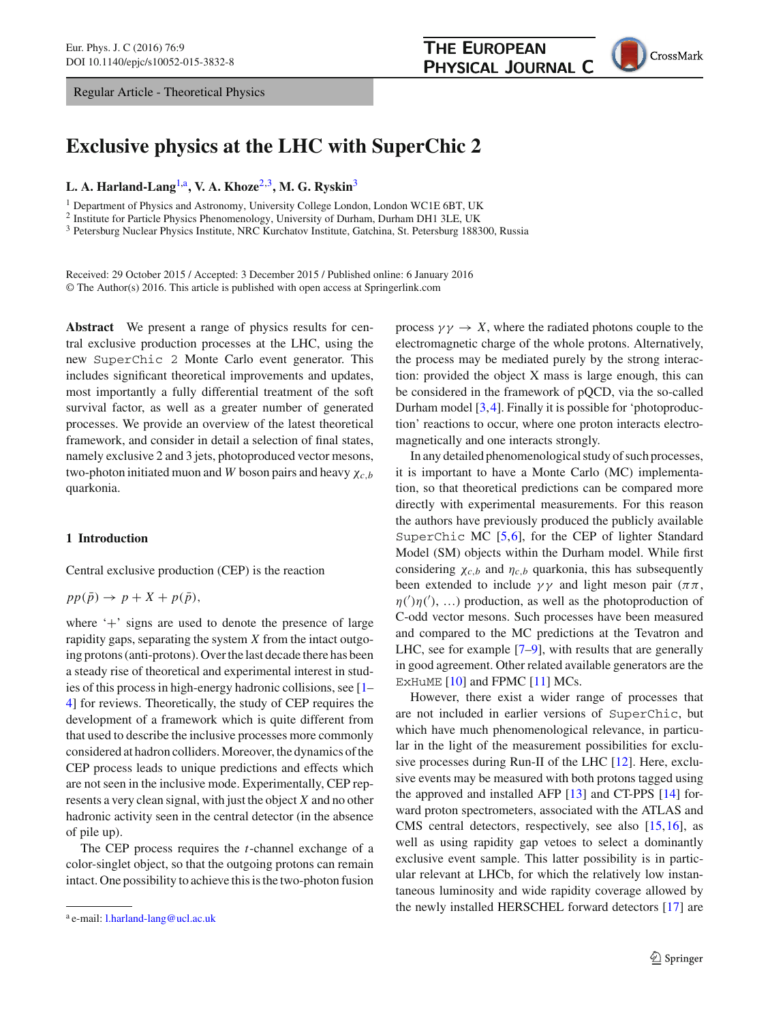Regular Article - Theoretical Physics



# **Exclusive physics at the LHC with SuperChic 2**

# **L. A. Harland-Lang**[1,](#page-0-0)a**, V. A. Khoze**[2](#page-0-0)[,3](#page-0-1)**, M. G. Ryskin**[3](#page-0-1)

<sup>1</sup> Department of Physics and Astronomy, University College London, London WC1E 6BT, UK

<sup>2</sup> Institute for Particle Physics Phenomenology, University of Durham, Durham DH1 3LE, UK

<sup>3</sup> Petersburg Nuclear Physics Institute, NRC Kurchatov Institute, Gatchina, St. Petersburg 188300, Russia

Received: 29 October 2015 / Accepted: 3 December 2015 / Published online: 6 January 2016 © The Author(s) 2016. This article is published with open access at Springerlink.com

**Abstract** We present a range of physics results for central exclusive production processes at the LHC, using the new SuperChic 2 Monte Carlo event generator. This includes significant theoretical improvements and updates, most importantly a fully differential treatment of the soft survival factor, as well as a greater number of generated processes. We provide an overview of the latest theoretical framework, and consider in detail a selection of final states, namely exclusive 2 and 3 jets, photoproduced vector mesons, two-photon initiated muon and *W* boson pairs and heavy χ*c*,*<sup>b</sup>* quarkonia.

#### **1 Introduction**

Central exclusive production (CEP) is the reaction

$$
pp(\bar{p}) \to p + X + p(\bar{p}),
$$

where '+' signs are used to denote the presence of large rapidity gaps, separating the system *X* from the intact outgoing protons (anti-protons). Over the last decade there has been a steady rise of theoretical and experimental interest in studies of this process in high-energy hadronic collisions, see [\[1](#page-18-0)– [4](#page-18-1)] for reviews. Theoretically, the study of CEP requires the development of a framework which is quite different from that used to describe the inclusive processes more commonly considered at hadron colliders. Moreover, the dynamics of the CEP process leads to unique predictions and effects which are not seen in the inclusive mode. Experimentally, CEP represents a very clean signal, with just the object *X* and no other hadronic activity seen in the central detector (in the absence of pile up).

The CEP process requires the *t*-channel exchange of a color-singlet object, so that the outgoing protons can remain intact. One possibility to achieve this is the two-photon fusion

<span id="page-0-1"></span><span id="page-0-0"></span>process  $\gamma \gamma \rightarrow X$ , where the radiated photons couple to the electromagnetic charge of the whole protons. Alternatively, the process may be mediated purely by the strong interaction: provided the object X mass is large enough, this can be considered in the framework of pQCD, via the so-called Durham model [\[3](#page-18-2)[,4](#page-18-1)]. Finally it is possible for 'photoproduction' reactions to occur, where one proton interacts electromagnetically and one interacts strongly.

In any detailed phenomenological study of such processes, it is important to have a Monte Carlo (MC) implementation, so that theoretical predictions can be compared more directly with experimental measurements. For this reason the authors have previously produced the publicly available SuperChic MC [\[5](#page-18-3),[6\]](#page-18-4), for the CEP of lighter Standard Model (SM) objects within the Durham model. While first considering  $\chi_{c,b}$  and  $\eta_{c,b}$  quarkonia, this has subsequently been extended to include  $\gamma\gamma$  and light meson pair ( $\pi\pi$ ,  $\eta(')\eta('), ...)$  production, as well as the photoproduction of C-odd vector mesons. Such processes have been measured and compared to the MC predictions at the Tevatron and LHC, see for example [\[7](#page-18-5)[–9](#page-18-6)], with results that are generally in good agreement. Other related available generators are the EXHUME [\[10\]](#page-18-7) and FPMC [\[11\]](#page-18-8) MCs.

However, there exist a wider range of processes that are not included in earlier versions of SuperChic, but which have much phenomenological relevance, in particular in the light of the measurement possibilities for exclusive processes during Run-II of the LHC [\[12](#page-18-9)]. Here, exclusive events may be measured with both protons tagged using the approved and installed AFP [\[13\]](#page-18-10) and CT-PPS [\[14](#page-18-11)] forward proton spectrometers, associated with the ATLAS and CMS central detectors, respectively, see also [\[15](#page-18-12),[16\]](#page-18-13), as well as using rapidity gap vetoes to select a dominantly exclusive event sample. This latter possibility is in particular relevant at LHCb, for which the relatively low instantaneous luminosity and wide rapidity coverage allowed by the newly installed HERSCHEL forward detectors [\[17\]](#page-18-14) are

<sup>a</sup> e-mail: [l.harland-lang@ucl.ac.uk](mailto:l.harland-lang@ucl.ac.uk)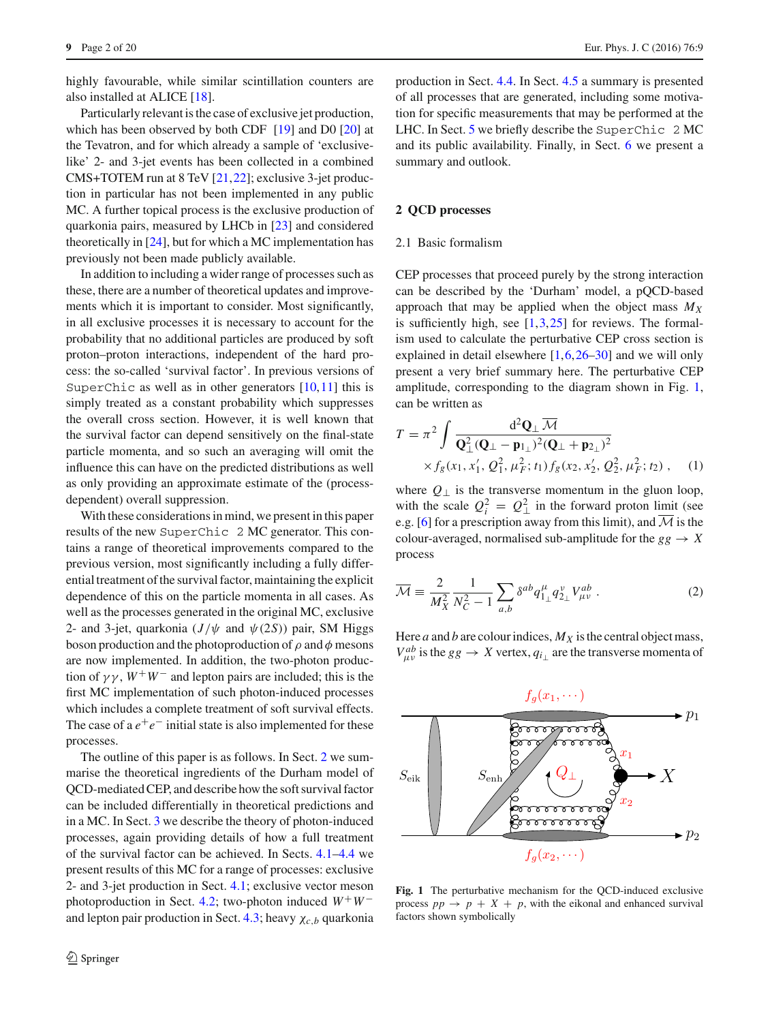highly favourable, while similar scintillation counters are also installed at ALICE [\[18\]](#page-18-15).

Particularly relevant is the case of exclusive jet production, which has been observed by both CDF [\[19\]](#page-18-16) and D0 [\[20\]](#page-18-17) at the Tevatron, and for which already a sample of 'exclusivelike' 2- and 3-jet events has been collected in a combined CMS+TOTEM run at 8 TeV [\[21](#page-18-18),[22\]](#page-18-19); exclusive 3-jet production in particular has not been implemented in any public MC. A further topical process is the exclusive production of quarkonia pairs, measured by LHCb in [\[23\]](#page-18-20) and considered theoretically in [\[24\]](#page-18-21), but for which a MC implementation has previously not been made publicly available.

In addition to including a wider range of processes such as these, there are a number of theoretical updates and improvements which it is important to consider. Most significantly, in all exclusive processes it is necessary to account for the probability that no additional particles are produced by soft proton–proton interactions, independent of the hard process: the so-called 'survival factor'. In previous versions of SuperChic as well as in other generators  $[10,11]$  $[10,11]$  $[10,11]$  this is simply treated as a constant probability which suppresses the overall cross section. However, it is well known that the survival factor can depend sensitively on the final-state particle momenta, and so such an averaging will omit the influence this can have on the predicted distributions as well as only providing an approximate estimate of the (processdependent) overall suppression.

With these considerations in mind, we present in this paper results of the new SuperChic 2 MC generator. This contains a range of theoretical improvements compared to the previous version, most significantly including a fully differential treatment of the survival factor, maintaining the explicit dependence of this on the particle momenta in all cases. As well as the processes generated in the original MC, exclusive 2- and 3-jet, quarkonia  $(J/\psi \text{ and } \psi(2S))$  pair, SM Higgs boson production and the photoproduction of  $\rho$  and  $\phi$  mesons are now implemented. In addition, the two-photon production of  $\gamma \gamma$ ,  $W^+W^-$  and lepton pairs are included; this is the first MC implementation of such photon-induced processes which includes a complete treatment of soft survival effects. The case of a  $e^+e^-$  initial state is also implemented for these processes.

The outline of this paper is as follows. In Sect. [2](#page-1-0) we summarise the theoretical ingredients of the Durham model of QCD-mediated CEP, and describe how the soft survival factor can be included differentially in theoretical predictions and in a MC. In Sect. [3](#page-3-0) we describe the theory of photon-induced processes, again providing details of how a full treatment of the survival factor can be achieved. In Sects. [4.1](#page-5-0)[–4.4](#page-12-0) we present results of this MC for a range of processes: exclusive 2- and 3-jet production in Sect. [4.1;](#page-5-0) exclusive vector meson photoproduction in Sect. [4.2;](#page-8-0) two-photon induced *W*+*W*− and lepton pair production in Sect. [4.3;](#page-10-0) heavy  $\chi_{c,b}$  quarkonia

production in Sect. [4.4.](#page-12-0) In Sect. [4.5](#page-15-0) a summary is presented of all processes that are generated, including some motivation for specific measurements that may be performed at the LHC. In Sect. [5](#page-17-0) we briefly describe the SuperChic 2 MC and its public availability. Finally, in Sect. [6](#page-17-1) we present a summary and outlook.

# <span id="page-1-0"></span>**2 QCD processes**

### 2.1 Basic formalism

CEP processes that proceed purely by the strong interaction can be described by the 'Durham' model, a pQCD-based approach that may be applied when the object mass *MX* is sufficiently high, see  $[1,3,25]$  $[1,3,25]$  $[1,3,25]$  $[1,3,25]$  for reviews. The formalism used to calculate the perturbative CEP cross section is explained in detail elsewhere [\[1](#page-18-0)[,6](#page-18-4)[,26](#page-18-23)[–30](#page-18-24)] and we will only present a very brief summary here. The perturbative CEP amplitude, corresponding to the diagram shown in Fig. [1,](#page-1-1) can be written as

<span id="page-1-2"></span>
$$
T = \pi^2 \int \frac{d^2 \mathbf{Q}_{\perp} \overline{\mathcal{M}}}{\mathbf{Q}_{\perp}^2 (\mathbf{Q}_{\perp} - \mathbf{p}_{1\perp})^2 (\mathbf{Q}_{\perp} + \mathbf{p}_{2\perp})^2} \times f_g(x_1, x_1', Q_1^2, \mu_F^2; t_1) f_g(x_2, x_2', Q_2^2, \mu_F^2; t_2), \quad (1)
$$

where  $Q_{\perp}$  is the transverse momentum in the gluon loop, with the scale  $Q_i^2 = Q_{\perp}^2$  in the forward proton limit (see e.g. [\[6\]](#page-18-4) for a prescription away from this limit), and  $\overline{\mathcal{M}}$  is the colour-averaged, normalised sub-amplitude for the  $gg \rightarrow X$ process

<span id="page-1-3"></span>
$$
\overline{\mathcal{M}} \equiv \frac{2}{M_X^2} \frac{1}{N_C^2 - 1} \sum_{a,b} \delta^{ab} q_{1\perp}^{\mu} q_{2\perp}^{\nu} V_{\mu\nu}^{ab} . \tag{2}
$$

Here *a* and *b* are colour indices,  $M_X$  is the central object mass,  $V_{\mu\nu}^{ab}$  is the *gg*  $\rightarrow X$  vertex,  $q_{i\perp}$  are the transverse momenta of



<span id="page-1-1"></span>**Fig. 1** The perturbative mechanism for the QCD-induced exclusive process  $pp \rightarrow p + X + p$ , with the eikonal and enhanced survival factors shown symbolically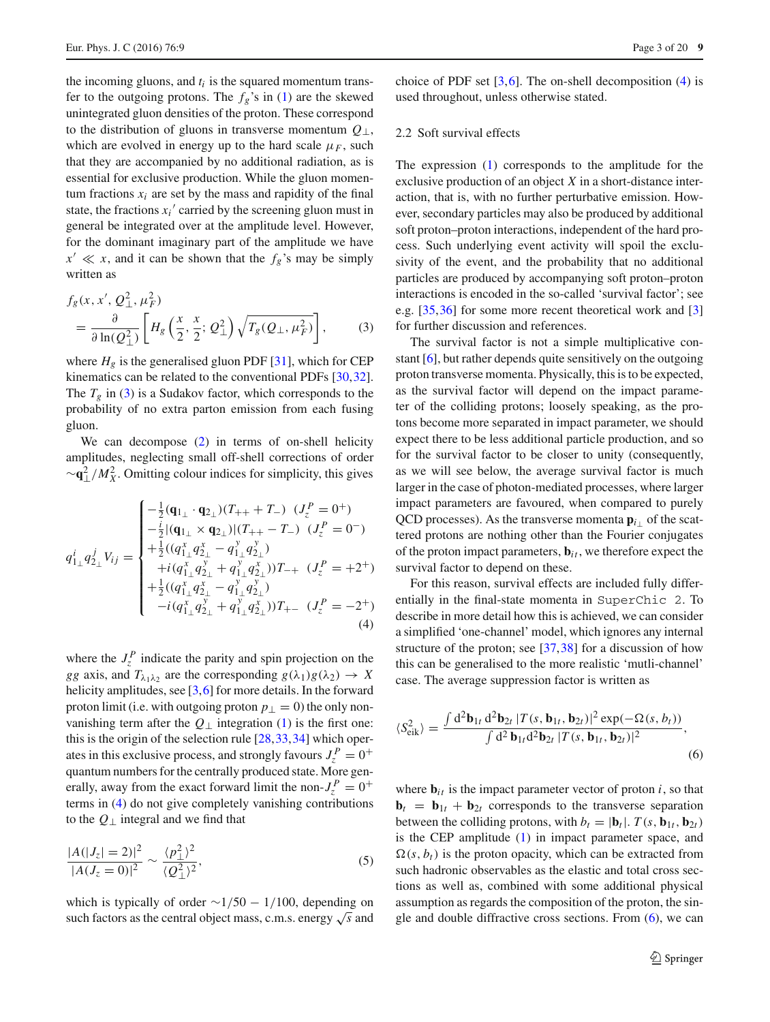the incoming gluons, and  $t_i$  is the squared momentum transfer to the outgoing protons. The  $f_g$ 's in [\(1\)](#page-1-2) are the skewed unintegrated gluon densities of the proton. These correspond to the distribution of gluons in transverse momentum *Q*⊥, which are evolved in energy up to the hard scale  $\mu_F$ , such that they are accompanied by no additional radiation, as is essential for exclusive production. While the gluon momentum fractions  $x_i$  are set by the mass and rapidity of the final state, the fractions  $x_i$ <sup>'</sup> carried by the screening gluon must in general be integrated over at the amplitude level. However, for the dominant imaginary part of the amplitude we have  $x' \ll x$ , and it can be shown that the  $f_g$ 's may be simply written as

<span id="page-2-0"></span>
$$
f_g(x, x', Q_\perp^2, \mu_F^2)
$$
  
=  $\frac{\partial}{\partial \ln(Q_\perp^2)} \left[ H_g\left(\frac{x}{2}, \frac{x}{2}; Q_\perp^2\right) \sqrt{T_g(Q_\perp, \mu_F^2)} \right],$  (3)

where  $H_g$  is the generalised gluon PDF [\[31](#page-18-25)], which for CEP kinematics can be related to the conventional PDFs [\[30](#page-18-24)[,32](#page-18-26)]. The  $T_g$  in [\(3\)](#page-2-0) is a Sudakov factor, which corresponds to the probability of no extra parton emission from each fusing gluon.

We can decompose [\(2\)](#page-1-3) in terms of on-shell helicity amplitudes, neglecting small off-shell corrections of order <sup>∼</sup>**q**<sup>2</sup> ⊥/*M*<sup>2</sup> *<sup>X</sup>* . Omitting colour indices for simplicity, this gives

$$
q_{1\perp}^{i}q_{2\perp}^{j}V_{ij} = \begin{cases}\n-\frac{1}{2}(\mathbf{q}_{1\perp}\cdot\mathbf{q}_{2\perp})(T_{++}+T_{-}) & (J_{z}^{P} = 0^{+}) \\
-\frac{i}{2}|(\mathbf{q}_{1\perp}\times\mathbf{q}_{2\perp})|(T_{++}-T_{-}) & (J_{z}^{P} = 0^{-}) \\
+\frac{1}{2}((q_{1\perp}^{x}q_{2\perp}^{x} - q_{1\perp}^{y}q_{2\perp}^{y}) \\
+i(q_{1\perp}^{x}q_{2\perp}^{y} + q_{1\perp}^{y}q_{2\perp}^{x}))T_{-+} & (J_{z}^{P} = +2^{+}) \\
+\frac{1}{2}((q_{1\perp}^{x}q_{2\perp}^{x} - q_{1\perp}^{y}q_{2\perp}^{y}))T_{+-} & (J_{z}^{P} = -2^{+}) \\
-i(q_{1\perp}^{x}q_{2\perp}^{y} + q_{1\perp}^{y}q_{2\perp}^{x}))T_{+-} & (J_{z}^{P} = -2^{+})\n\end{cases}
$$
\n(4)

where the  $J_z^P$  indicate the parity and spin projection on the *gg* axis, and  $T_{\lambda_1 \lambda_2}$  are the corresponding  $g(\lambda_1)g(\lambda_2) \rightarrow X$ helicity amplitudes, see  $[3,6]$  $[3,6]$  $[3,6]$  for more details. In the forward proton limit (i.e. with outgoing proton  $p_{\perp} = 0$ ) the only nonvanishing term after the  $Q_{\perp}$  integration [\(1\)](#page-1-2) is the first one: this is the origin of the selection rule  $[28,33,34]$  $[28,33,34]$  $[28,33,34]$  $[28,33,34]$  which operates in this exclusive process, and strongly favours  $J_z^P = 0^+$ quantum numbers for the centrally produced state. More generally, away from the exact forward limit the non- $J_z^P = 0^+$ terms in [\(4\)](#page-2-1) do not give completely vanishing contributions to the *Q*<sup>⊥</sup> integral and we find that

$$
\frac{|A(|J_z| = 2)|^2}{|A(J_z = 0)|^2} \sim \frac{\langle p_\perp^2 \rangle^2}{\langle Q_\perp^2 \rangle^2},\tag{5}
$$

which is typically of order  $\sim$ 1/50 − 1/100, depending on such factors as the central object mass, c.m.s. energy <sup>√</sup>*<sup>s</sup>* and choice of PDF set  $[3,6]$  $[3,6]$  $[3,6]$ . The on-shell decomposition  $(4)$  is used throughout, unless otherwise stated.

## <span id="page-2-3"></span>2.2 Soft survival effects

The expression [\(1\)](#page-1-2) corresponds to the amplitude for the exclusive production of an object *X* in a short-distance interaction, that is, with no further perturbative emission. However, secondary particles may also be produced by additional soft proton–proton interactions, independent of the hard process. Such underlying event activity will spoil the exclusivity of the event, and the probability that no additional particles are produced by accompanying soft proton–proton interactions is encoded in the so-called 'survival factor'; see e.g. [\[35](#page-18-30)[,36](#page-18-31)] for some more recent theoretical work and [\[3\]](#page-18-2) for further discussion and references.

The survival factor is not a simple multiplicative constant [\[6](#page-18-4)], but rather depends quite sensitively on the outgoing proton transverse momenta. Physically, this is to be expected, as the survival factor will depend on the impact parameter of the colliding protons; loosely speaking, as the protons become more separated in impact parameter, we should expect there to be less additional particle production, and so for the survival factor to be closer to unity (consequently, as we will see below, the average survival factor is much larger in the case of photon-mediated processes, where larger impact parameters are favoured, when compared to purely QCD processes). As the transverse momenta  $\mathbf{p}_{i\perp}$  of the scattered protons are nothing other than the Fourier conjugates of the proton impact parameters,  $\mathbf{b}_{it}$ , we therefore expect the survival factor to depend on these.

<span id="page-2-1"></span>For this reason, survival effects are included fully differentially in the final-state momenta in SuperChic 2. To describe in more detail how this is achieved, we can consider a simplified 'one-channel' model, which ignores any internal structure of the proton; see [\[37,](#page-18-32)[38\]](#page-18-33) for a discussion of how this can be generalised to the more realistic 'mutli-channel' case. The average suppression factor is written as

<span id="page-2-2"></span>
$$
\langle S_{\text{eik}}^2 \rangle = \frac{\int d^2 \mathbf{b}_{1t} d^2 \mathbf{b}_{2t} |T(s, \mathbf{b}_{1t}, \mathbf{b}_{2t})|^2 \exp(-\Omega(s, b_t))}{\int d^2 \mathbf{b}_{1t} d^2 \mathbf{b}_{2t} |T(s, \mathbf{b}_{1t}, \mathbf{b}_{2t})|^2},
$$
\n(6)

where  $\mathbf{b}_{it}$  is the impact parameter vector of proton *i*, so that  $$ between the colliding protons, with  $b_t = |\mathbf{b}_t|$ .  $T(s, \mathbf{b}_{1t}, \mathbf{b}_{2t})$ is the CEP amplitude [\(1\)](#page-1-2) in impact parameter space, and  $\Omega(s, b_t)$  is the proton opacity, which can be extracted from such hadronic observables as the elastic and total cross sections as well as, combined with some additional physical assumption as regards the composition of the proton, the single and double diffractive cross sections. From  $(6)$ , we can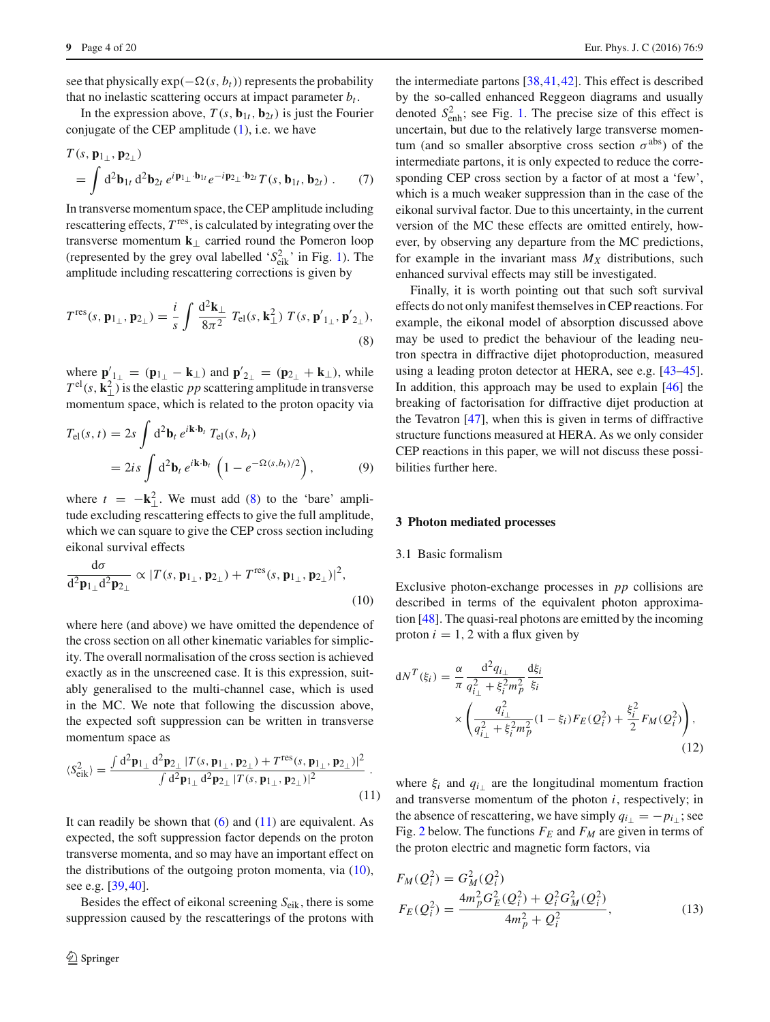see that physically  $exp(-\Omega(s, b_t))$  represents the probability that no inelastic scattering occurs at impact parameter  $b_t$ .

In the expression above,  $T(s, \mathbf{b}_{1t}, \mathbf{b}_{2t})$  is just the Fourier conjugate of the CEP amplitude  $(1)$ , i.e. we have

$$
T(s, \mathbf{p}_{1\perp}, \mathbf{p}_{2\perp})
$$
  
=  $\int d^2 \mathbf{b}_{1t} d^2 \mathbf{b}_{2t} e^{i \mathbf{p}_{1\perp} \cdot \mathbf{b}_{1t}} e^{-i \mathbf{p}_{2\perp} \cdot \mathbf{b}_{2t}} T(s, \mathbf{b}_{1t}, \mathbf{b}_{2t})$ . (7)

In transverse momentum space, the CEP amplitude including rescattering effects,  $T<sup>res</sup>$ , is calculated by integrating over the transverse momentum **k**<sup>⊥</sup> carried round the Pomeron loop (represented by the grey oval labelled ' $S_{eik}^2$ ' in Fig. [1\)](#page-1-1). The amplitude including rescattering corrections is given by

$$
T^{\rm res}(s, \mathbf{p}_{1\perp}, \mathbf{p}_{2\perp}) = \frac{i}{s} \int \frac{\mathrm{d}^2 \mathbf{k}_{\perp}}{8\pi^2} T_{\rm el}(s, \mathbf{k}_{\perp}^2) T(s, \mathbf{p'}_{1\perp}, \mathbf{p'}_{2\perp}),
$$
\n(8)

where  $\mathbf{p}'_{1\perp} = (\mathbf{p}_{1\perp} - \mathbf{k}_{\perp})$  and  $\mathbf{p}'_{2\perp} = (\mathbf{p}_{2\perp} + \mathbf{k}_{\perp})$ , while  $T^{\text{el}}(s, \mathbf{k}_{\perp}^2)$  is the elastic *pp* scattering amplitude in transverse momentum space, which is related to the proton opacity via

$$
T_{\rm el}(s, t) = 2s \int d^2 \mathbf{b}_t e^{i\mathbf{k} \cdot \mathbf{b}_t} T_{\rm el}(s, b_t)
$$
  
=  $2is \int d^2 \mathbf{b}_t e^{i\mathbf{k} \cdot \mathbf{b}_t} \left(1 - e^{-\Omega(s, b_t)/2}\right),$  (9)

where  $t = -\mathbf{k}_{\perp}^2$ . We must add [\(8\)](#page-3-1) to the 'bare' amplitude excluding rescattering effects to give the full amplitude, which we can square to give the CEP cross section including eikonal survival effects

<span id="page-3-3"></span>
$$
\frac{\mathrm{d}\sigma}{\mathrm{d}^2\mathbf{p}_{1\perp}\mathrm{d}^2\mathbf{p}_{2\perp}} \propto |T(s,\mathbf{p}_{1\perp},\mathbf{p}_{2\perp}) + T^{\text{res}}(s,\mathbf{p}_{1\perp},\mathbf{p}_{2\perp})|^2,
$$
\n(10)

where here (and above) we have omitted the dependence of the cross section on all other kinematic variables for simplicity. The overall normalisation of the cross section is achieved exactly as in the unscreened case. It is this expression, suitably generalised to the multi-channel case, which is used in the MC. We note that following the discussion above, the expected soft suppression can be written in transverse momentum space as

<span id="page-3-2"></span>
$$
\langle S_{\rm eik}^2 \rangle = \frac{\int d^2 \mathbf{p}_{1\perp} d^2 \mathbf{p}_{2\perp} |T(s, \mathbf{p}_{1\perp}, \mathbf{p}_{2\perp}) + T^{\rm res}(s, \mathbf{p}_{1\perp}, \mathbf{p}_{2\perp})|^2}{\int d^2 \mathbf{p}_{1\perp} d^2 \mathbf{p}_{2\perp} |T(s, \mathbf{p}_{1\perp}, \mathbf{p}_{2\perp})|^2} \tag{11}
$$

It can readily be shown that  $(6)$  and  $(11)$  are equivalent. As expected, the soft suppression factor depends on the proton transverse momenta, and so may have an important effect on the distributions of the outgoing proton momenta, via  $(10)$ , see e.g. [\[39](#page-18-34),[40\]](#page-18-35).

Besides the effect of eikonal screening *S*eik, there is some suppression caused by the rescatterings of the protons with

the intermediate partons [\[38,](#page-18-33)[41](#page-18-36)[,42](#page-18-37)]. This effect is described by the so-called enhanced Reggeon diagrams and usually denoted  $S_{\text{enh}}^2$ ; see Fig. [1.](#page-1-1) The precise size of this effect is uncertain, but due to the relatively large transverse momentum (and so smaller absorptive cross section  $\sigma^{abs}$ ) of the intermediate partons, it is only expected to reduce the corresponding CEP cross section by a factor of at most a 'few', which is a much weaker suppression than in the case of the eikonal survival factor. Due to this uncertainty, in the current version of the MC these effects are omitted entirely, however, by observing any departure from the MC predictions, for example in the invariant mass  $M_X$  distributions, such enhanced survival effects may still be investigated.

<span id="page-3-1"></span>Finally, it is worth pointing out that such soft survival effects do not only manifest themselves in CEP reactions. For example, the eikonal model of absorption discussed above may be used to predict the behaviour of the leading neutron spectra in diffractive dijet photoproduction, measured using a leading proton detector at HERA, see e.g. [\[43](#page-18-38)[–45](#page-18-39)]. In addition, this approach may be used to explain [\[46](#page-18-40)] the breaking of factorisation for diffractive dijet production at the Tevatron [\[47](#page-18-41)], when this is given in terms of diffractive structure functions measured at HERA. As we only consider CEP reactions in this paper, we will not discuss these possibilities further here.

#### <span id="page-3-0"></span>**3 Photon mediated processes**

## <span id="page-3-5"></span>3.1 Basic formalism

Exclusive photon-exchange processes in *pp* collisions are described in terms of the equivalent photon approximation [\[48\]](#page-18-42). The quasi-real photons are emitted by the incoming proton  $i = 1, 2$  with a flux given by

<span id="page-3-4"></span>
$$
dN^{T}(\xi_{i}) = \frac{\alpha}{\pi} \frac{d^{2}q_{i\perp}}{q_{i\perp}^{2} + \xi_{i}^{2}m_{p}^{2}} \frac{d\xi_{i}}{\xi_{i}} \times \left(\frac{q_{i\perp}^{2}}{q_{i\perp}^{2} + \xi_{i}^{2}m_{p}^{2}} (1 - \xi_{i}) F_{E}(Q_{i}^{2}) + \frac{\xi_{i}^{2}}{2} F_{M}(Q_{i}^{2})\right),
$$
\n(12)

where  $\xi$ <sub>*i*</sub> and  $q$ <sub>*i*</sub> are the longitudinal momentum fraction and transverse momentum of the photon *i*, respectively; in the absence of rescattering, we have simply  $q_{i\perp} = -p_{i\perp}$ ; see Fig. [2](#page-4-0) below. The functions  $F_E$  and  $F_M$  are given in terms of the proton electric and magnetic form factors, via

$$
F_M(Q_i^2) = G_M^2(Q_i^2)
$$
  
\n
$$
F_E(Q_i^2) = \frac{4m_p^2 G_E^2(Q_i^2) + Q_i^2 G_M^2(Q_i^2)}{4m_p^2 + Q_i^2},
$$
\n(13)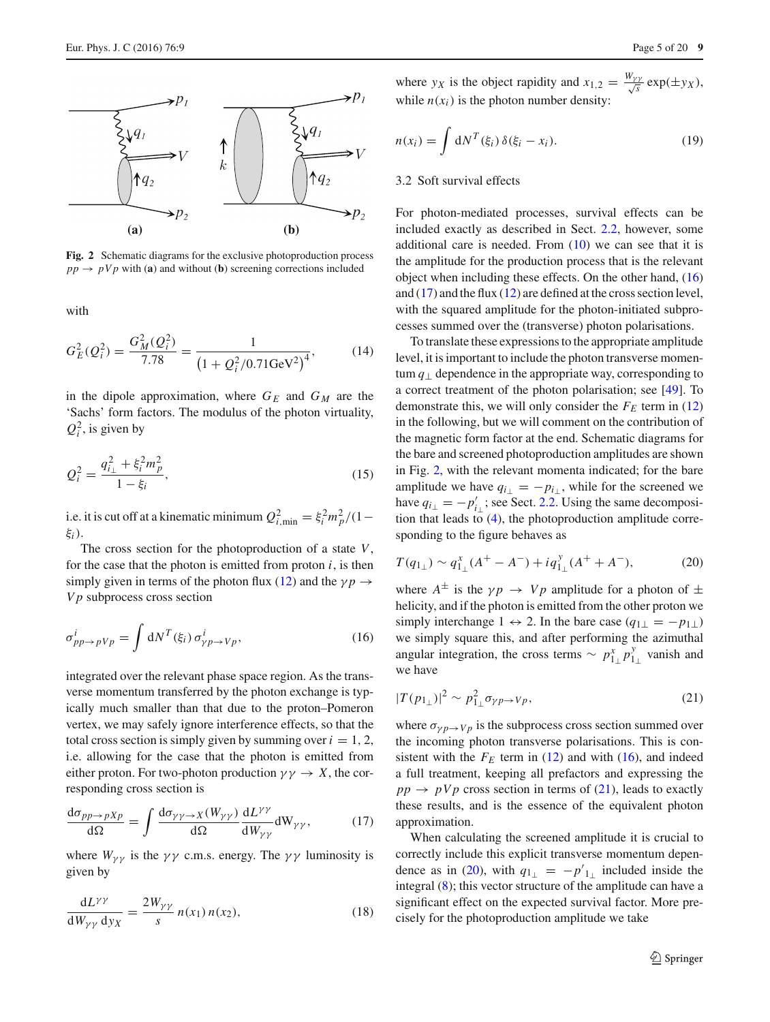

<span id="page-4-0"></span>**Fig. 2** Schematic diagrams for the exclusive photoproduction process  $pp \rightarrow pVp$  with (**a**) and without (**b**) screening corrections included

with

$$
G_E^2(Q_i^2) = \frac{G_M^2(Q_i^2)}{7.78} = \frac{1}{\left(1 + Q_i^2/0.71 \text{GeV}^2\right)^4},\tag{14}
$$

in the dipole approximation, where  $G_E$  and  $G_M$  are the 'Sachs' form factors. The modulus of the photon virtuality,  $Q_i^2$ , is given by

<span id="page-4-5"></span>
$$
Q_i^2 = \frac{q_{i\perp}^2 + \xi_i^2 m_p^2}{1 - \xi_i},\tag{15}
$$

i.e. it is cut off at a kinematic minimum  $Q_{i,\text{min}}^2 = \xi_i^2 m_p^2/(1-\xi_i^2)$ ξ*i*).

The cross section for the photoproduction of a state *V*, for the case that the photon is emitted from proton  $i$ , is then simply given in terms of the photon flux [\(12\)](#page-3-4) and the  $\gamma p \rightarrow$ *V p* subprocess cross section

<span id="page-4-1"></span>
$$
\sigma_{pp \to pVp}^{i} = \int dN^{T}(\xi_i) \,\sigma_{\gamma p \to Vp}^{i},\tag{16}
$$

integrated over the relevant phase space region. As the transverse momentum transferred by the photon exchange is typically much smaller than that due to the proton–Pomeron vertex, we may safely ignore interference effects, so that the total cross section is simply given by summing over  $i = 1, 2$ , i.e. allowing for the case that the photon is emitted from either proton. For two-photon production  $\gamma \gamma \rightarrow X$ , the corresponding cross section is

<span id="page-4-2"></span>
$$
\frac{\mathrm{d}\sigma_{pp \to pXp}}{\mathrm{d}\Omega} = \int \frac{\mathrm{d}\sigma_{\gamma\gamma \to X}(W_{\gamma\gamma})}{\mathrm{d}\Omega} \frac{\mathrm{d}L^{\gamma\gamma}}{\mathrm{d}W_{\gamma\gamma}} \mathrm{d}W_{\gamma\gamma},\tag{17}
$$

where  $W_{\gamma\gamma}$  is the  $\gamma\gamma$  c.m.s. energy. The  $\gamma\gamma$  luminosity is given by

$$
\frac{\mathrm{d}L^{\gamma\gamma}}{\mathrm{d}W_{\gamma\gamma}\,\mathrm{d}y_X} = \frac{2W_{\gamma\gamma}}{s} n(x_1) n(x_2),\tag{18}
$$

where *y<sub>X</sub>* is the object rapidity and  $x_{1,2} = \frac{W_{\gamma\gamma}}{\sqrt{s}} \exp(\pm y_X)$ , while  $n(x_i)$  is the photon number density:

$$
n(x_i) = \int dN^T(\xi_i) \, \delta(\xi_i - x_i). \tag{19}
$$

#### <span id="page-4-6"></span>3.2 Soft survival effects

For photon-mediated processes, survival effects can be included exactly as described in Sect. [2.2,](#page-2-3) however, some additional care is needed. From [\(10\)](#page-3-3) we can see that it is the amplitude for the production process that is the relevant object when including these effects. On the other hand, [\(16\)](#page-4-1) and  $(17)$  and the flux  $(12)$  are defined at the cross section level, with the squared amplitude for the photon-initiated subprocesses summed over the (transverse) photon polarisations.

To translate these expressions to the appropriate amplitude level, it is important to include the photon transverse momentum  $q_{\perp}$  dependence in the appropriate way, corresponding to a correct treatment of the photon polarisation; see [\[49](#page-18-43)]. To demonstrate this, we will only consider the  $F_E$  term in [\(12\)](#page-3-4) in the following, but we will comment on the contribution of the magnetic form factor at the end. Schematic diagrams for the bare and screened photoproduction amplitudes are shown in Fig. [2,](#page-4-0) with the relevant momenta indicated; for the bare amplitude we have  $q_{i\perp} = -p_{i\perp}$ , while for the screened we have  $q_{i\perp} = -p'_{i\perp}$ ; see Sect. [2.2.](#page-2-3) Using the same decomposition that leads to [\(4\)](#page-2-1), the photoproduction amplitude corresponding to the figure behaves as

<span id="page-4-4"></span>
$$
T(q_{1\perp}) \sim q_{1\perp}^x (A^+ - A^-) + iq_{1\perp}^y (A^+ + A^-), \tag{20}
$$

where  $A^{\pm}$  is the  $\gamma p \rightarrow V p$  amplitude for a photon of  $\pm$ helicity, and if the photon is emitted from the other proton we simply interchange  $1 \leftrightarrow 2$ . In the bare case  $(q_{1\perp} = -p_{1\perp})$ we simply square this, and after performing the azimuthal angular integration, the cross terms  $\sim p_{1\perp}^x p_{1\perp}^y$  vanish and we have

<span id="page-4-3"></span>
$$
|T(p_{1_\perp})|^2 \sim p_{1_\perp}^2 \sigma_{\gamma p \to Vp},\tag{21}
$$

where  $\sigma_{\gamma p \to V p}$  is the subprocess cross section summed over the incoming photon transverse polarisations. This is consistent with the  $F_E$  term in [\(12\)](#page-3-4) and with [\(16\)](#page-4-1), and indeed a full treatment, keeping all prefactors and expressing the  $pp \rightarrow pVp$  cross section in terms of [\(21\)](#page-4-3), leads to exactly these results, and is the essence of the equivalent photon approximation.

When calculating the screened amplitude it is crucial to correctly include this explicit transverse momentum depen-dence as in [\(20\)](#page-4-4), with  $q_{1\perp} = -p'_{1\perp}$  included inside the integral [\(8\)](#page-3-1); this vector structure of the amplitude can have a significant effect on the expected survival factor. More precisely for the photoproduction amplitude we take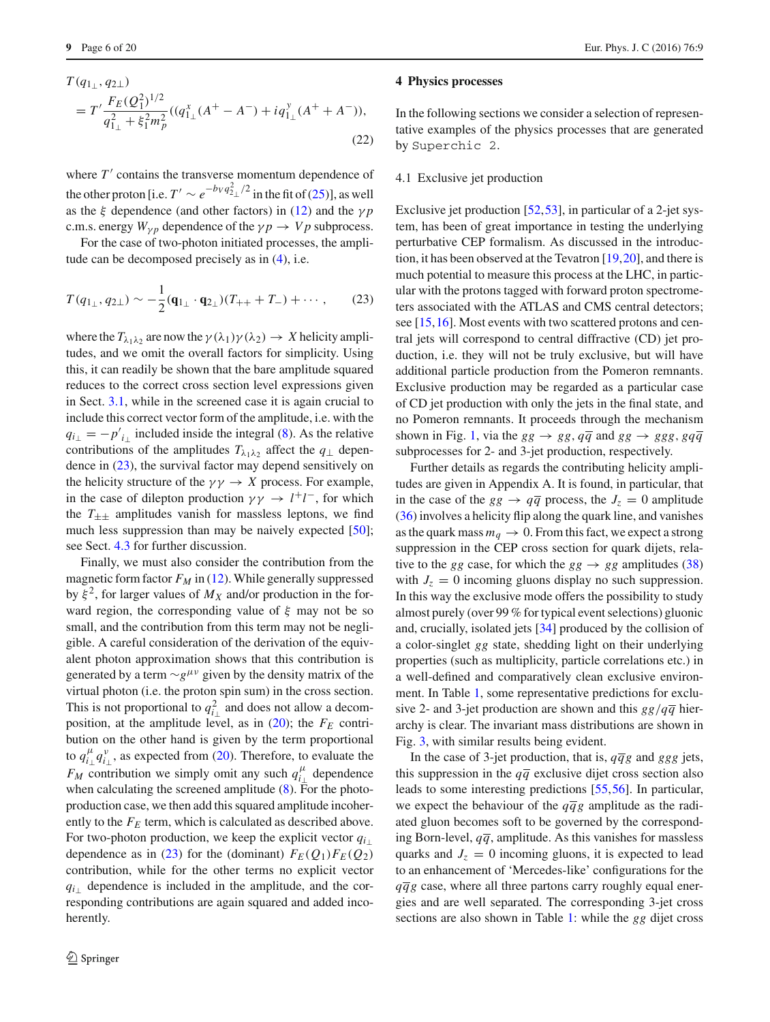$$
T(q_{1\perp}, q_{2\perp})
$$
  
=  $T' \frac{F_E(Q_1^2)^{1/2}}{q_{1\perp}^2 + \xi_1^2 m_p^2} ((q_{1\perp}^x (A^+ - A^-) + iq_{1\perp}^y (A^+ + A^-)),$   
(22)

where  $T'$  contains the transverse momentum dependence of the other proton [i.e.  $T' \sim e^{-b_V q_{2\perp}^2/2}$  in the fit of [\(25\)](#page-8-1)], as well as the  $\xi$  dependence (and other factors) in [\(12\)](#page-3-4) and the  $\gamma p$ c.m.s. energy  $W_{\nu p}$  dependence of the  $\gamma p \rightarrow V p$  subprocess.

For the case of two-photon initiated processes, the amplitude can be decomposed precisely as in [\(4\)](#page-2-1), i.e.

<span id="page-5-1"></span>
$$
T(q_{1\perp}, q_{2\perp}) \sim -\frac{1}{2}(\mathbf{q}_{1\perp} \cdot \mathbf{q}_{2\perp})(T_{++} + T_{-}) + \cdots, \qquad (23)
$$

where the  $T_{\lambda_1 \lambda_2}$  are now the  $\gamma(\lambda_1)\gamma(\lambda_2) \rightarrow X$  helicity amplitudes, and we omit the overall factors for simplicity. Using this, it can readily be shown that the bare amplitude squared reduces to the correct cross section level expressions given in Sect. [3.1,](#page-3-5) while in the screened case it is again crucial to include this correct vector form of the amplitude, i.e. with the  $q_{i\perp} = -p'_{i\perp}$  included inside the integral [\(8\)](#page-3-1). As the relative contributions of the amplitudes  $T_{\lambda_1\lambda_2}$  affect the  $q_\perp$  dependence in [\(23\)](#page-5-1), the survival factor may depend sensitively on the helicity structure of the  $\gamma \gamma \rightarrow X$  process. For example, in the case of dilepton production  $\gamma \gamma \rightarrow l^+l^-$ , for which the  $T_{\pm\pm}$  amplitudes vanish for massless leptons, we find much less suppression than may be naively expected [\[50](#page-18-44)]; see Sect. [4.3](#page-10-0) for further discussion.

Finally, we must also consider the contribution from the magnetic form factor  $F_M$  in [\(12\)](#page-3-4). While generally suppressed by  $\xi^2$ , for larger values of  $M_X$  and/or production in the forward region, the corresponding value of  $\xi$  may not be so small, and the contribution from this term may not be negligible. A careful consideration of the derivation of the equivalent photon approximation shows that this contribution is generated by a term  $\sim g^{\mu\nu}$  given by the density matrix of the virtual photon (i.e. the proton spin sum) in the cross section. This is not proportional to  $q_{i\perp}^2$  and does not allow a decomposition, at the amplitude level, as in  $(20)$ ; the  $F_E$  contribution on the other hand is given by the term proportional to  $q_{i\perp}^{\mu}q_{i\perp}^{\nu}$ , as expected from [\(20\)](#page-4-4). Therefore, to evaluate the *FM* contribution we simply omit any such  $q_{i\perp}^{\mu}$  dependence when calculating the screened amplitude  $(8)$ . For the photoproduction case, we then add this squared amplitude incoherently to the  $F_E$  term, which is calculated as described above. For two-photon production, we keep the explicit vector  $q_i$ dependence as in [\(23\)](#page-5-1) for the (dominant)  $F_F(Q_1)F_F(Q_2)$ contribution, while for the other terms no explicit vector *q*<sub>*i*⊥</sub> dependence is included in the amplitude, and the corresponding contributions are again squared and added incoherently.

#### **4 Physics processes**

In the following sections we consider a selection of representative examples of the physics processes that are generated by Superchic 2.

#### <span id="page-5-0"></span>4.1 Exclusive jet production

Exclusive jet production [\[52](#page-18-45),[53\]](#page-18-46), in particular of a 2-jet system, has been of great importance in testing the underlying perturbative CEP formalism. As discussed in the introduction, it has been observed at the Tevatron [\[19](#page-18-16)[,20](#page-18-17)], and there is much potential to measure this process at the LHC, in particular with the protons tagged with forward proton spectrometers associated with the ATLAS and CMS central detectors; see [\[15](#page-18-12)[,16](#page-18-13)]. Most events with two scattered protons and central jets will correspond to central diffractive (CD) jet production, i.e. they will not be truly exclusive, but will have additional particle production from the Pomeron remnants. Exclusive production may be regarded as a particular case of CD jet production with only the jets in the final state, and no Pomeron remnants. It proceeds through the mechanism shown in Fig. [1,](#page-1-1) via the  $gg \rightarrow gg$ ,  $q\overline{q}$  and  $gg \rightarrow ggg$ ,  $gq\overline{q}$ subprocesses for 2- and 3-jet production, respectively.

Further details as regards the contributing helicity amplitudes are given in Appendix A. It is found, in particular, that in the case of the  $gg \rightarrow q\overline{q}$  process, the  $J_z = 0$  amplitude [\(36\)](#page-17-2) involves a helicity flip along the quark line, and vanishes as the quark mass  $m_q \to 0$ . From this fact, we expect a strong suppression in the CEP cross section for quark dijets, relative to the *gg* case, for which the  $gg \rightarrow gg$  amplitudes [\(38\)](#page-18-47) with  $J_z = 0$  incoming gluons display no such suppression. In this way the exclusive mode offers the possibility to study almost purely (over 99 % for typical event selections) gluonic and, crucially, isolated jets [\[34](#page-18-29)] produced by the collision of a color-singlet *gg* state, shedding light on their underlying properties (such as multiplicity, particle correlations etc.) in a well-defined and comparatively clean exclusive environment. In Table [1,](#page-6-0) some representative predictions for exclusive 2- and 3-jet production are shown and this  $gg/q\overline{q}$  hierarchy is clear. The invariant mass distributions are shown in Fig. [3,](#page-6-1) with similar results being evident.

In the case of 3-jet production, that is,  $q\bar{q}g$  and *ggg* jets, this suppression in the  $q\bar{q}$  exclusive dijet cross section also leads to some interesting predictions [\[55](#page-19-0),[56\]](#page-19-1). In particular, we expect the behaviour of the  $q\bar{q}g$  amplitude as the radiated gluon becomes soft to be governed by the corresponding Born-level,  $q\bar{q}$ , amplitude. As this vanishes for massless quarks and  $J_z = 0$  incoming gluons, it is expected to lead to an enhancement of 'Mercedes-like' configurations for the  $q\bar{q}g$  case, where all three partons carry roughly equal energies and are well separated. The corresponding 3-jet cross sections are also shown in Table [1:](#page-6-0) while the *gg* dijet cross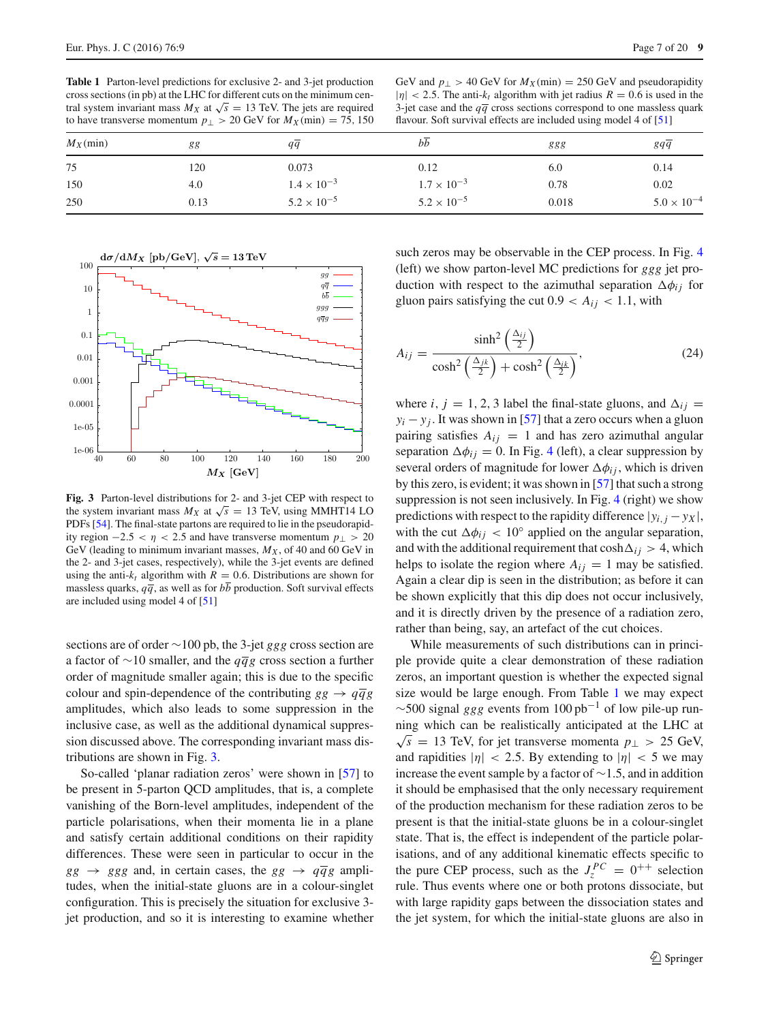<span id="page-6-0"></span>**Table 1** Parton-level predictions for exclusive 2- and 3-jet production cross sections (in pb) at the LHC for different cuts on the minimum central system invariant mass  $M_X$  at  $\sqrt{s} = 13$  TeV. The jets are required to have transverse momentum  $p_{\perp} > 20$  GeV for  $M_X(\text{min}) = 75,150$ 

GeV and  $p_{\perp} > 40$  GeV for  $M_X(\text{min}) = 250$  GeV and pseudorapidity  $|\eta|$  < 2.5. The anti- $k_t$  algorithm with jet radius  $R = 0.6$  is used in the 3-jet case and the  $q\bar{q}$  cross sections correspond to one massless quark flavour. Soft survival effects are included using model 4 of [\[51\]](#page-18-48)

| $M_X(\text{min})$ | 88   | qq                   | bb                   | 888   | $gq\overline{q}$     |
|-------------------|------|----------------------|----------------------|-------|----------------------|
| 75                | 120  | 0.073                | 0.12                 | 6.0   | 0.14                 |
| 150               | 4.0  | $1.4 \times 10^{-3}$ | $1.7 \times 10^{-3}$ | 0.78  | 0.02                 |
| 250               | 0.13 | $5.2 \times 10^{-5}$ | $5.2 \times 10^{-5}$ | 0.018 | $5.0 \times 10^{-4}$ |



<span id="page-6-1"></span>**Fig. 3** Parton-level distributions for 2- and 3-jet CEP with respect to the system invariant mass  $M_X$  at  $\sqrt{s} = 13$  TeV, using MMHT14 LO PDFs [\[54\]](#page-19-2). The final-state partons are required to lie in the pseudorapidity region  $-2.5 < \eta < 2.5$  and have transverse momentum  $p_{\perp} > 20$ GeV (leading to minimum invariant masses,  $M_X$ , of 40 and 60 GeV in the 2- and 3-jet cases, respectively), while the 3-jet events are defined using the anti- $k_t$  algorithm with  $R = 0.6$ . Distributions are shown for massless quarks,  $q\bar{q}$ , as well as for  $b\bar{b}$  production. Soft survival effects are included using model 4 of [\[51](#page-18-48)]

sections are of order ∼100 pb, the 3-jet *ggg* cross section are a factor of ∼10 smaller, and the *qqg* cross section a further order of magnitude smaller again; this is due to the specific colour and spin-dependence of the contributing  $gg \rightarrow q\overline{q}g$ amplitudes, which also leads to some suppression in the inclusive case, as well as the additional dynamical suppression discussed above. The corresponding invariant mass distributions are shown in Fig. [3.](#page-6-1)

So-called 'planar radiation zeros' were shown in [\[57](#page-19-3)] to be present in 5-parton QCD amplitudes, that is, a complete vanishing of the Born-level amplitudes, independent of the particle polarisations, when their momenta lie in a plane and satisfy certain additional conditions on their rapidity differences. These were seen in particular to occur in the  $gg \rightarrow ggg$  and, in certain cases, the  $gg \rightarrow q\bar{q}g$  amplitudes, when the initial-state gluons are in a colour-singlet configuration. This is precisely the situation for exclusive 3 jet production, and so it is interesting to examine whether

such zeros may be observable in the CEP process. In Fig. [4](#page-7-0) (left) we show parton-level MC predictions for *ggg* jet production with respect to the azimuthal separation  $\Delta \phi_{ij}$  for gluon pairs satisfying the cut  $0.9 < A_{ij} < 1.1$ , with

<span id="page-6-2"></span>
$$
A_{ij} = \frac{\sinh^2\left(\frac{\Delta_{ij}}{2}\right)}{\cosh^2\left(\frac{\Delta_{jk}}{2}\right) + \cosh^2\left(\frac{\Delta_{ik}}{2}\right)},\tag{24}
$$

where *i*,  $j = 1, 2, 3$  label the final-state gluons, and  $\Delta_{ij} =$  $y_i - y_j$ . It was shown in [\[57](#page-19-3)] that a zero occurs when a gluon pairing satisfies  $A_{ij} = 1$  and has zero azimuthal angular separation  $\Delta \phi_{ij} = 0$ . In Fig. [4](#page-7-0) (left), a clear suppression by several orders of magnitude for lower  $\Delta \phi_{ij}$ , which is driven by this zero, is evident; it was shown in [\[57\]](#page-19-3) that such a strong suppression is not seen inclusively. In Fig. [4](#page-7-0) (right) we show predictions with respect to the rapidity difference  $|y_{i,j} - y_X|$ , with the cut  $\Delta \phi_{ij}$  < 10° applied on the angular separation, and with the additional requirement that  $cosh\Delta_{ij} > 4$ , which helps to isolate the region where  $A_{ij} = 1$  may be satisfied. Again a clear dip is seen in the distribution; as before it can be shown explicitly that this dip does not occur inclusively, and it is directly driven by the presence of a radiation zero, rather than being, say, an artefact of the cut choices.

While measurements of such distributions can in principle provide quite a clear demonstration of these radiation zeros, an important question is whether the expected signal size would be large enough. From Table [1](#page-6-0) we may expect  $\sim$ 500 signal *ggg* events from 100 pb<sup>-1</sup> of low pile-up running which can be realistically anticipated at the LHC at  $√s = 13$  TeV, for jet transverse momenta  $p_$  > 25 GeV, and rapidities  $|\eta| < 2.5$ . By extending to  $|\eta| < 5$  we may increase the event sample by a factor of ∼1.5, and in addition it should be emphasised that the only necessary requirement of the production mechanism for these radiation zeros to be present is that the initial-state gluons be in a colour-singlet state. That is, the effect is independent of the particle polarisations, and of any additional kinematic effects specific to the pure CEP process, such as the  $J_z^{PC} = 0^{++}$  selection rule. Thus events where one or both protons dissociate, but with large rapidity gaps between the dissociation states and the jet system, for which the initial-state gluons are also in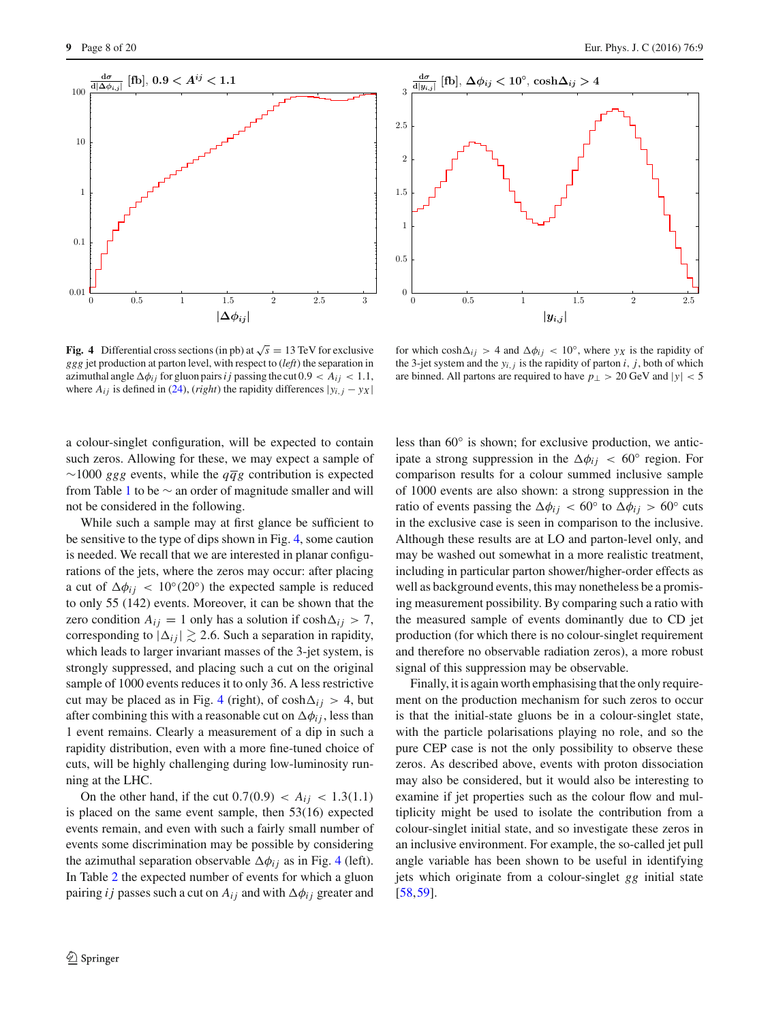

2

1.5

1

0.5

0

.



for which  $cosh \Delta_{ij} > 4$  and  $\Delta \phi_{ij} < 10^\circ$ , where  $y_X$  is the rapidity of the 3-jet system and the  $y_{i,j}$  is the rapidity of parton *i*, *j*, both of which are binned. All partons are required to have  $p_{\perp} > 20 \text{ GeV}$  and  $|y| < 5$ 

*|yi,j|* 0 0.5 1 1.5 2 2.5

<span id="page-7-0"></span>**Fig. 4** Differential cross sections (in pb) at  $\sqrt{s} = 13$  TeV for exclusive *ggg* jet production at parton level, with respect to (*left*) the separation in azimuthal angle  $\Delta\phi_{ij}$  for gluon pairs *i j* passing the cut  $0.9 < A_{ij} < 1.1$ , where  $A_{ij}$  is defined in [\(24\)](#page-6-2), (*right*) the rapidity differences  $|y_{i,j} - y_X|$ 

a colour-singlet configuration, will be expected to contain such zeros. Allowing for these, we may expect a sample of  $\sim$ 1000 *ggg* events, while the  $q\bar{q}g$  contribution is expected from Table [1](#page-6-0) to be  $\sim$  an order of magnitude smaller and will not be considered in the following.

While such a sample may at first glance be sufficient to be sensitive to the type of dips shown in Fig. [4,](#page-7-0) some caution is needed. We recall that we are interested in planar configurations of the jets, where the zeros may occur: after placing a cut of  $\Delta \phi_{ij}$  < 10°(20°) the expected sample is reduced to only 55 (142) events. Moreover, it can be shown that the zero condition  $A_{ij} = 1$  only has a solution if  $cosh \Delta_{ij} > 7$ , corresponding to  $|\Delta_{ij}| \gtrsim 2.6$ . Such a separation in rapidity, which leads to larger invariant masses of the 3-jet system, is strongly suppressed, and placing such a cut on the original sample of 1000 events reduces it to only 36. A less restrictive cut may be placed as in Fig. [4](#page-7-0) (right), of  $cosh \Delta_{ij} > 4$ , but after combining this with a reasonable cut on  $\Delta\phi_{ij}$ , less than 1 event remains. Clearly a measurement of a dip in such a rapidity distribution, even with a more fine-tuned choice of cuts, will be highly challenging during low-luminosity running at the LHC.

On the other hand, if the cut  $0.7(0.9) < A_{ij} < 1.3(1.1)$ is placed on the same event sample, then 53(16) expected events remain, and even with such a fairly small number of events some discrimination may be possible by considering the azimuthal separation observable  $\Delta \phi_{ij}$  as in Fig. [4](#page-7-0) (left). In Table [2](#page-8-2) the expected number of events for which a gluon pairing *i j* passes such a cut on  $A_{ij}$  and with  $\Delta \phi_{ij}$  greater and

less than 60◦ is shown; for exclusive production, we anticipate a strong suppression in the  $\Delta\phi_{ij}$  < 60° region. For comparison results for a colour summed inclusive sample of 1000 events are also shown: a strong suppression in the ratio of events passing the  $\Delta \phi_{ij}$  < 60° to  $\Delta \phi_{ij}$  > 60° cuts in the exclusive case is seen in comparison to the inclusive. Although these results are at LO and parton-level only, and may be washed out somewhat in a more realistic treatment, including in particular parton shower/higher-order effects as well as background events, this may nonetheless be a promising measurement possibility. By comparing such a ratio with the measured sample of events dominantly due to CD jet production (for which there is no colour-singlet requirement and therefore no observable radiation zeros), a more robust signal of this suppression may be observable.

Finally, it is again worth emphasising that the only requirement on the production mechanism for such zeros to occur is that the initial-state gluons be in a colour-singlet state, with the particle polarisations playing no role, and so the pure CEP case is not the only possibility to observe these zeros. As described above, events with proton dissociation may also be considered, but it would also be interesting to examine if jet properties such as the colour flow and multiplicity might be used to isolate the contribution from a colour-singlet initial state, and so investigate these zeros in an inclusive environment. For example, the so-called jet pull angle variable has been shown to be useful in identifying jets which originate from a colour-singlet *gg* initial state [\[58](#page-19-4),[59\]](#page-19-5).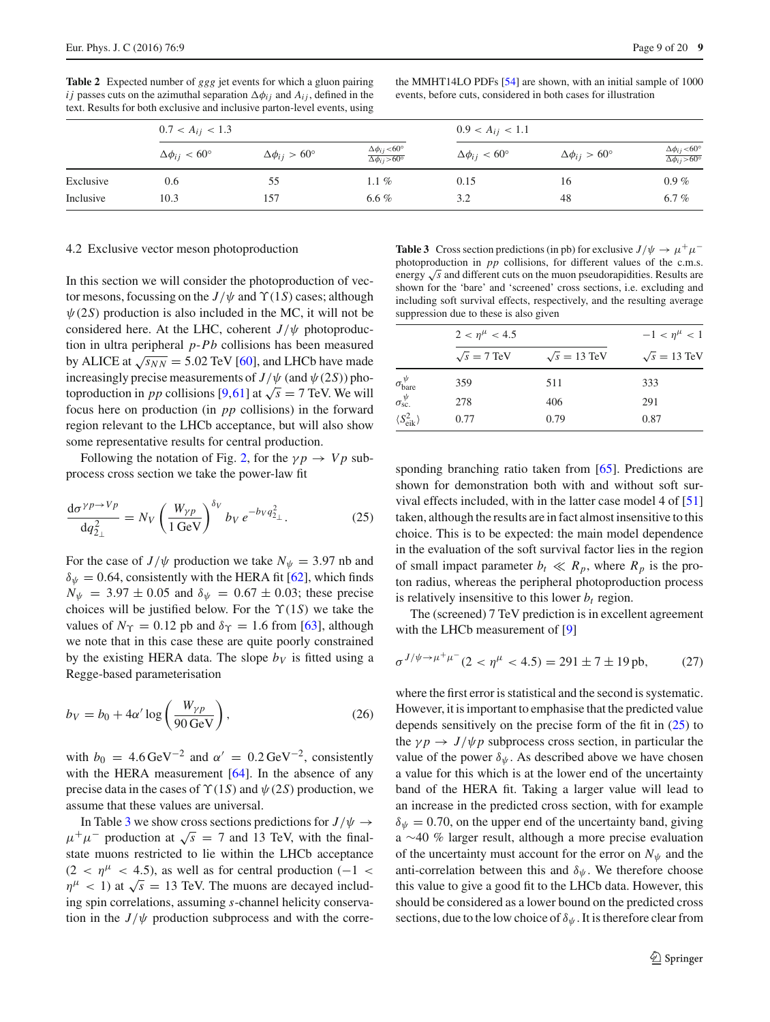<span id="page-8-2"></span>**Table 2** Expected number of *ggg* jet events for which a gluon pairing *i j* passes cuts on the azimuthal separation  $\Delta \phi_{ij}$  and  $A_{ij}$ , defined in the text. Results for both exclusive and inclusive parton-level events, using

the MMHT14LO PDFs [\[54](#page-19-2)] are shown, with an initial sample of 1000 events, before cuts, considered in both cases for illustration

|           | $0.7 < A_{ij} < 1.3$    |                              |                                                        | $0.9 < A_{ij} < 1.1$         |                              |                                                         |
|-----------|-------------------------|------------------------------|--------------------------------------------------------|------------------------------|------------------------------|---------------------------------------------------------|
|           | $\Delta\phi_{ii}$ < 60° | $\Delta\phi_{ij} > 60^\circ$ | $\Delta\phi_{ij}$ <60°<br>$\Delta\phi_{ij} > 60^\circ$ | $\Delta\phi_{ij} < 60^\circ$ | $\Delta\phi_{ij} > 60^\circ$ | $\Delta\phi_{ij}$ <60°<br>$\Delta \phi_{ij} > 60^\circ$ |
| Exclusive | 0.6                     | 55                           | $1.1\%$                                                | 0.15                         | 16                           | $0.9\%$                                                 |
| Inclusive | 10.3                    | 157                          | 6.6 %                                                  | 3.2                          | 48                           | 6.7%                                                    |

#### <span id="page-8-0"></span>4.2 Exclusive vector meson photoproduction

In this section we will consider the photoproduction of vector mesons, focussing on the  $J/\psi$  and  $\Upsilon(1S)$  cases; although  $\psi(2S)$  production is also included in the MC, it will not be considered here. At the LHC, coherent  $J/\psi$  photoproduction in ultra peripheral *p*-*Pb* collisions has been measured by ALICE at  $\sqrt{s_{NN}}$  = 5.02 TeV [\[60](#page-19-6)], and LHCb have made increasingly precise measurements of  $J/\psi$  (and  $\psi$  (2*S*)) photoproduction in *pp* collisions [\[9](#page-18-6)[,61\]](#page-19-7) at  $\sqrt{s} = 7$  TeV. We will focus here on production (in *pp* collisions) in the forward region relevant to the LHCb acceptance, but will also show some representative results for central production.

Following the notation of Fig. [2,](#page-4-0) for the  $\gamma p \rightarrow V p$  subprocess cross section we take the power-law fit

$$
\frac{\mathrm{d}\sigma^{\gamma p \to V p}}{\mathrm{d}q_{2_\perp}^2} = N_V \left(\frac{W_{\gamma p}}{1 \,\text{GeV}}\right)^{\delta_V} b_V e^{-b_V q_{2_\perp}^2}.\tag{25}
$$

For the case of *J*/ $\psi$  production we take  $N_{\psi} = 3.97$  nb and  $\delta_{\psi} = 0.64$ , consistently with the HERA fit [\[62](#page-19-8)], which finds  $N_{\psi}$  = 3.97  $\pm$  0.05 and  $\delta_{\psi}$  = 0.67  $\pm$  0.03; these precise choices will be justified below. For the  $\Upsilon(1S)$  we take the values of  $N_{\Upsilon} = 0.12$  pb and  $\delta_{\Upsilon} = 1.6$  from [\[63\]](#page-19-9), although we note that in this case these are quite poorly constrained by the existing HERA data. The slope  $b_V$  is fitted using a Regge-based parameterisation

<span id="page-8-4"></span>
$$
b_V = b_0 + 4\alpha' \log\left(\frac{W_{\gamma p}}{90 \,\text{GeV}}\right),\tag{26}
$$

with  $b_0 = 4.6 \,\text{GeV}^{-2}$  and  $\alpha' = 0.2 \,\text{GeV}^{-2}$ , consistently with the HERA measurement [\[64\]](#page-19-10). In the absence of any precise data in the cases of  $\Upsilon(1S)$  and  $\psi(2S)$  production, we assume that these values are universal.

In Table [3](#page-8-3) we show cross sections predictions for  $J/\psi \rightarrow$  $\mu^+ \mu^-$  production at  $\sqrt{s}$  = 7 and 13 TeV, with the finalstate muons restricted to lie within the LHCb acceptance  $(2 < \eta^{\mu} < 4.5)$ , as well as for central production (-1 <  $\eta^{\mu}$  < 1) at  $\sqrt{s}$  = 13 TeV. The muons are decayed including spin correlations, assuming *s*-channel helicity conservation in the  $J/\psi$  production subprocess and with the corre-

<span id="page-8-3"></span>**Table 3** Cross section predictions (in pb) for exclusive  $J/\psi \rightarrow \mu^+\mu^$ photoproduction in *pp* collisions, for different values of the c.m.s. energy <sup>√</sup>*<sup>s</sup>* and different cuts on the muon pseudorapidities. Results are shown for the 'bare' and 'screened' cross sections, i.e. excluding and including soft survival effects, respectively, and the resulting average suppression due to these is also given

|                                 | $2 < \eta^{\mu} < 4.5$ |                     | $-1 < \eta^{\mu} < 1$ |
|---------------------------------|------------------------|---------------------|-----------------------|
|                                 | $\sqrt{s}$ = 7 TeV     | $\sqrt{s} = 13$ TeV | $\sqrt{s} = 13$ TeV   |
| $\sigma_{\text{bare}}^{\psi}$   | 359                    | 511                 | 333                   |
| $\sigma_{\rm sc.}^{\psi}$       | 278                    | 406                 | 291                   |
| $\langle S_{\rm eik}^2 \rangle$ | 0.77                   | 0.79                | 0.87                  |
|                                 |                        |                     |                       |

<span id="page-8-1"></span>sponding branching ratio taken from [\[65\]](#page-19-11). Predictions are shown for demonstration both with and without soft survival effects included, with in the latter case model 4 of [\[51\]](#page-18-48) taken, although the results are in fact almost insensitive to this choice. This is to be expected: the main model dependence in the evaluation of the soft survival factor lies in the region of small impact parameter  $b_t \ll R_p$ , where  $R_p$  is the proton radius, whereas the peripheral photoproduction process is relatively insensitive to this lower  $b_t$  region.

The (screened) 7 TeV prediction is in excellent agreement with the LHCb measurement of [\[9](#page-18-6)]

$$
\sigma^{J/\psi \to \mu^+ \mu^-} (2 < \eta^{\mu} < 4.5) = 291 \pm 7 \pm 19 \,\text{pb},\tag{27}
$$

where the first error is statistical and the second is systematic. However, it is important to emphasise that the predicted value depends sensitively on the precise form of the fit in [\(25\)](#page-8-1) to the  $\gamma p \rightarrow J/\psi p$  subprocess cross section, in particular the value of the power  $\delta_{\psi}$ . As described above we have chosen a value for this which is at the lower end of the uncertainty band of the HERA fit. Taking a larger value will lead to an increase in the predicted cross section, with for example  $\delta_{\psi} = 0.70$ , on the upper end of the uncertainty band, giving a ∼40 % larger result, although a more precise evaluation of the uncertainty must account for the error on  $N_{\psi}$  and the anti-correlation between this and  $\delta_{\psi}$ . We therefore choose this value to give a good fit to the LHCb data. However, this should be considered as a lower bound on the predicted cross sections, due to the low choice of  $\delta_{\psi}$ . It is therefore clear from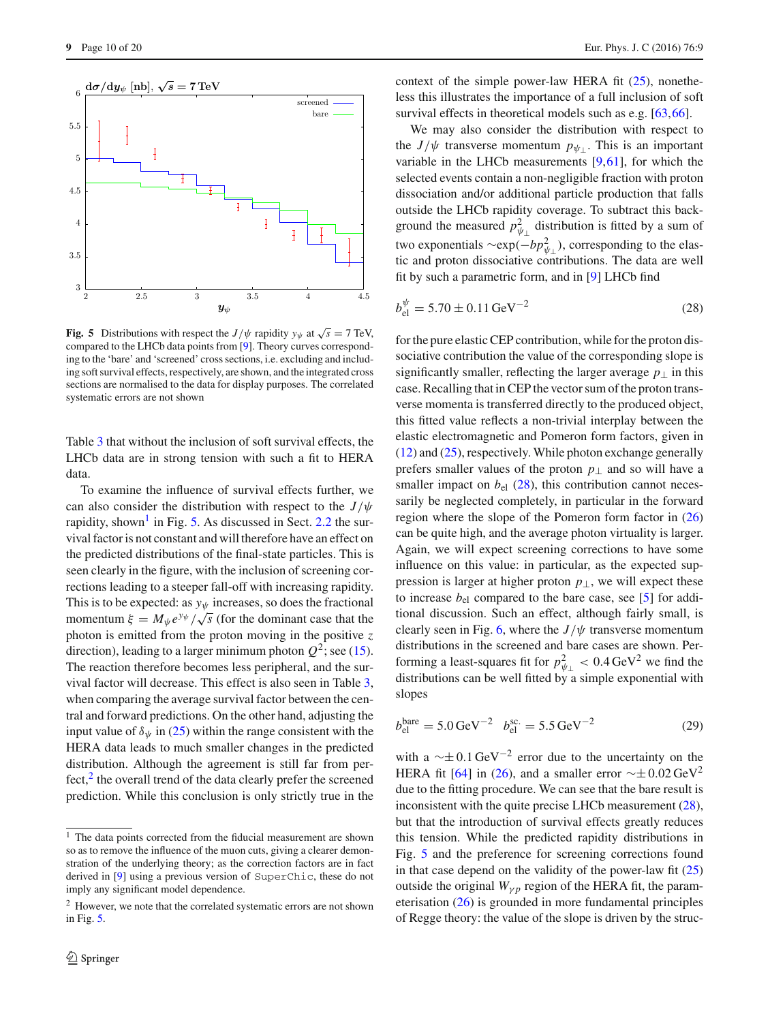

<span id="page-9-1"></span>**Fig. 5** Distributions with respect the *J*/ $\psi$  rapidity  $y_{\psi}$  at  $\sqrt{s} = 7$  TeV, compared to the LHCb data points from [\[9](#page-18-6)]. Theory curves corresponding to the 'bare' and 'screened' cross sections, i.e. excluding and including soft survival effects, respectively, are shown, and the integrated cross sections are normalised to the data for display purposes. The correlated systematic errors are not shown

Table [3](#page-8-3) that without the inclusion of soft survival effects, the LHCb data are in strong tension with such a fit to HERA data.

To examine the influence of survival effects further, we can also consider the distribution with respect to the *J*/ψ rapidity, shown<sup>1</sup> in Fig. [5.](#page-9-1) As discussed in Sect. [2.2](#page-2-3) the survival factor is not constant and will therefore have an effect on the predicted distributions of the final-state particles. This is seen clearly in the figure, with the inclusion of screening corrections leading to a steeper fall-off with increasing rapidity. This is to be expected: as  $y_{\psi}$  increases, so does the fractional momentum  $\xi = M_{\psi} e^{y_{\psi}} / \sqrt{s}$  (for the dominant case that the photon is emitted from the proton moving in the positive *z* direction), leading to a larger minimum photon  $Q^2$ ; see [\(15\)](#page-4-5). The reaction therefore becomes less peripheral, and the survival factor will decrease. This effect is also seen in Table [3,](#page-8-3) when comparing the average survival factor between the central and forward predictions. On the other hand, adjusting the input value of  $\delta_{\psi}$  in [\(25\)](#page-8-1) within the range consistent with the HERA data leads to much smaller changes in the predicted distribution. Although the agreement is still far from perfect, $\frac{2}{3}$  $\frac{2}{3}$  $\frac{2}{3}$  the overall trend of the data clearly prefer the screened prediction. While this conclusion is only strictly true in the context of the simple power-law HERA fit [\(25\)](#page-8-1), nonetheless this illustrates the importance of a full inclusion of soft survival effects in theoretical models such as e.g. [\[63](#page-19-9)[,66](#page-19-12)].

We may also consider the distribution with respect to the *J*/ $\psi$  transverse momentum  $p_{\psi}$ . This is an important variable in the LHCb measurements  $[9,61]$  $[9,61]$  $[9,61]$ , for which the selected events contain a non-negligible fraction with proton dissociation and/or additional particle production that falls outside the LHCb rapidity coverage. To subtract this background the measured  $p_{\psi_{\perp}}^2$  distribution is fitted by a sum of two exponentials ∼exp( $-bp_{\psi_{\perp}}^2$ ), corresponding to the elastic and proton dissociative contributions. The data are well fit by such a parametric form, and in [\[9\]](#page-18-6) LHCb find

<span id="page-9-3"></span>
$$
b_{\rm el}^{\psi} = 5.70 \pm 0.11 \,\text{GeV}^{-2} \tag{28}
$$

for the pure elastic CEP contribution, while for the proton dissociative contribution the value of the corresponding slope is significantly smaller, reflecting the larger average  $p_{\perp}$  in this case. Recalling that in CEP the vector sum of the proton transverse momenta is transferred directly to the produced object, this fitted value reflects a non-trivial interplay between the elastic electromagnetic and Pomeron form factors, given in  $(12)$  and  $(25)$ , respectively. While photon exchange generally prefers smaller values of the proton  $p_{\perp}$  and so will have a smaller impact on  $b_{el}$  [\(28\)](#page-9-3), this contribution cannot necessarily be neglected completely, in particular in the forward region where the slope of the Pomeron form factor in [\(26\)](#page-8-4) can be quite high, and the average photon virtuality is larger. Again, we will expect screening corrections to have some influence on this value: in particular, as the expected suppression is larger at higher proton *p*⊥, we will expect these to increase *b*el compared to the bare case, see [\[5\]](#page-18-3) for additional discussion. Such an effect, although fairly small, is clearly seen in Fig. [6,](#page-10-1) where the  $J/\psi$  transverse momentum distributions in the screened and bare cases are shown. Performing a least-squares fit for  $p_{\psi_{\perp}}^2 < 0.4 \text{ GeV}^2$  we find the distributions can be well fitted by a simple exponential with slopes

$$
b_{\rm el}^{\rm bare} = 5.0 \,\text{GeV}^{-2} \quad b_{\rm el}^{\rm sc.} = 5.5 \,\text{GeV}^{-2} \tag{29}
$$

with a  $\sim \pm 0.1$  GeV<sup>-2</sup> error due to the uncertainty on the HERA fit [\[64\]](#page-19-10) in [\(26\)](#page-8-4), and a smaller error  $\sim \pm 0.02 \,\text{GeV}^2$ due to the fitting procedure. We can see that the bare result is inconsistent with the quite precise LHCb measurement [\(28\)](#page-9-3), but that the introduction of survival effects greatly reduces this tension. While the predicted rapidity distributions in Fig. [5](#page-9-1) and the preference for screening corrections found in that case depend on the validity of the power-law fit  $(25)$ outside the original  $W_{\gamma p}$  region of the HERA fit, the parameterisation [\(26\)](#page-8-4) is grounded in more fundamental principles of Regge theory: the value of the slope is driven by the struc-

<span id="page-9-0"></span><sup>&</sup>lt;sup>1</sup> The data points corrected from the fiducial measurement are shown so as to remove the influence of the muon cuts, giving a clearer demonstration of the underlying theory; as the correction factors are in fact derived in [\[9\]](#page-18-6) using a previous version of SuperChic, these do not imply any significant model dependence.

<span id="page-9-2"></span><sup>2</sup> However, we note that the correlated systematic errors are not shown in Fig. [5.](#page-9-1)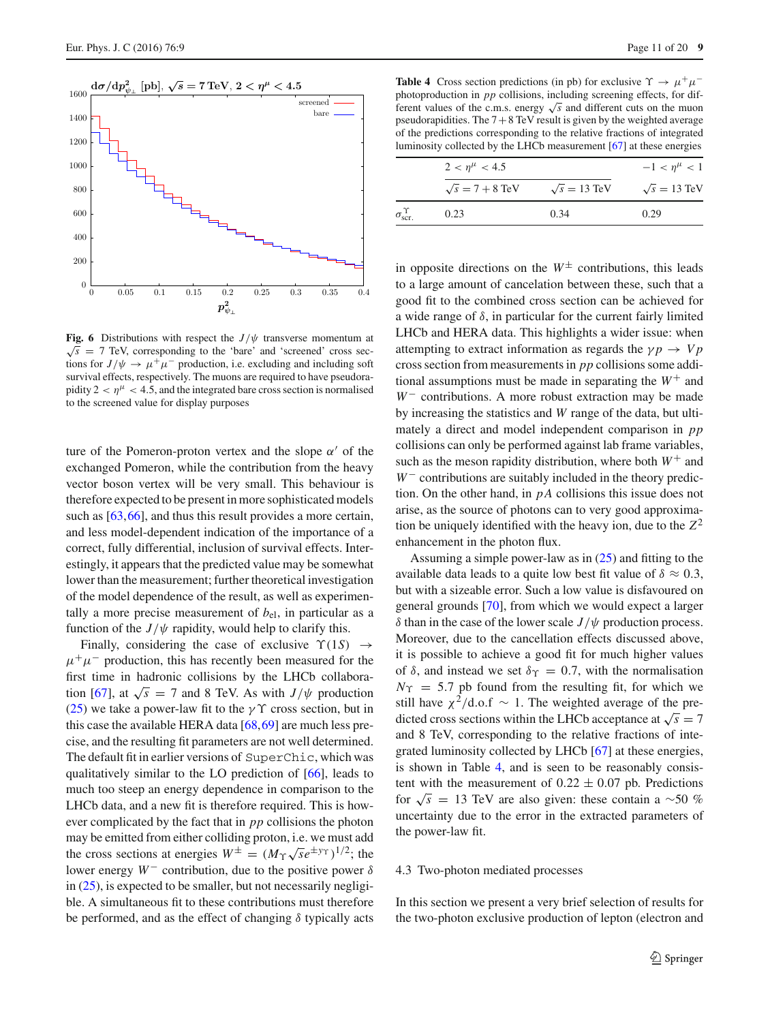

<span id="page-10-1"></span>**Fig. 6** Distributions with respect the  $J/\psi$  transverse momentum at  $\sqrt{s}$  = 7 TeV, corresponding to the 'bare' and 'screened' cross sections for  $J/\psi \rightarrow \mu^+\mu^-$  production, i.e. excluding and including soft survival effects, respectively. The muons are required to have pseudorapidity  $2 < \eta^{\mu} < 4.5$ , and the integrated bare cross section is normalised to the screened value for display purposes

ture of the Pomeron-proton vertex and the slope  $\alpha'$  of the exchanged Pomeron, while the contribution from the heavy vector boson vertex will be very small. This behaviour is therefore expected to be present in more sophisticated models such as [\[63](#page-19-9),[66\]](#page-19-12), and thus this result provides a more certain, and less model-dependent indication of the importance of a correct, fully differential, inclusion of survival effects. Interestingly, it appears that the predicted value may be somewhat lower than the measurement; further theoretical investigation of the model dependence of the result, as well as experimentally a more precise measurement of  $b_{el}$ , in particular as a function of the  $J/\psi$  rapidity, would help to clarify this.

Finally, considering the case of exclusive  $\Upsilon(1S) \rightarrow$  $\mu^+\mu^-$  production, this has recently been measured for the first time in hadronic collisions by the LHCb collabora-tion [\[67](#page-19-13)], at  $\sqrt{s}$  = 7 and 8 TeV. As with *J*/ $\psi$  production [\(25\)](#page-8-1) we take a power-law fit to the  $\gamma \Upsilon$  cross section, but in this case the available HERA data [\[68](#page-19-14),[69\]](#page-19-15) are much less precise, and the resulting fit parameters are not well determined. The default fit in earlier versions of SuperChic, which was qualitatively similar to the LO prediction of [\[66](#page-19-12)], leads to much too steep an energy dependence in comparison to the LHCb data, and a new fit is therefore required. This is however complicated by the fact that in *pp* collisions the photon may be emitted from either colliding proton, i.e. we must add the cross sections at energies  $W^{\pm} = (M_{\Upsilon} \sqrt{s}e^{\pm y_{\Upsilon}})^{1/2}$ ; the lower energy  $W^-$  contribution, due to the positive power  $\delta$ in  $(25)$ , is expected to be smaller, but not necessarily negligible. A simultaneous fit to these contributions must therefore be performed, and as the effect of changing  $\delta$  typically acts

<span id="page-10-2"></span>**Table 4** Cross section predictions (in pb) for exclusive  $\Upsilon \rightarrow \mu^+ \mu^$ photoproduction in *pp* collisions, including screening effects, for different values of the c.m.s. energy  $\sqrt{s}$  and different cuts on the muon pseudorapidities. The  $7+8$  TeV result is given by the weighted average of the predictions corresponding to the relative fractions of integrated luminosity collected by the LHCb measurement [\[67](#page-19-13)] at these energies

|                                | $2 < \eta^{\mu} < 4.5$ |                     | $-1 < \eta^{\mu} < 1$ |
|--------------------------------|------------------------|---------------------|-----------------------|
|                                | $\sqrt{s}$ = 7 + 8 TeV | $\sqrt{s} = 13$ TeV | $\sqrt{s} = 13$ TeV   |
| $\int_{\mathrm{scr}}^{\infty}$ | 0.23                   | 0.34                | 0.29                  |
|                                |                        |                     |                       |

 $\epsilon$ 

in opposite directions on the  $W^{\pm}$  contributions, this leads to a large amount of cancelation between these, such that a good fit to the combined cross section can be achieved for a wide range of  $\delta$ , in particular for the current fairly limited LHCb and HERA data. This highlights a wider issue: when attempting to extract information as regards the  $\gamma p \rightarrow V p$ cross section from measurements in *pp* collisions some additional assumptions must be made in separating the  $W^+$  and *W*<sup>−</sup> contributions. A more robust extraction may be made by increasing the statistics and *W* range of the data, but ultimately a direct and model independent comparison in *pp* collisions can only be performed against lab frame variables, such as the meson rapidity distribution, where both  $W^+$  and *W*<sup>−</sup> contributions are suitably included in the theory prediction. On the other hand, in *p A* collisions this issue does not arise, as the source of photons can to very good approximation be uniquely identified with the heavy ion, due to the  $Z^2$ enhancement in the photon flux.

Assuming a simple power-law as in [\(25\)](#page-8-1) and fitting to the available data leads to a quite low best fit value of  $\delta \approx 0.3$ , but with a sizeable error. Such a low value is disfavoured on general grounds [\[70](#page-19-16)], from which we would expect a larger δ than in the case of the lower scale  $J/\psi$  production process. Moreover, due to the cancellation effects discussed above, it is possible to achieve a good fit for much higher values of  $\delta$ , and instead we set  $\delta \gamma = 0.7$ , with the normalisation  $N_{\Upsilon} = 5.7$  pb found from the resulting fit, for which we still have  $\chi^2/\text{d.o.f} \sim 1$ . The weighted average of the predicted cross sections within the LHCb acceptance at  $\sqrt{s} = 7$ and 8 TeV, corresponding to the relative fractions of integrated luminosity collected by LHCb [\[67](#page-19-13)] at these energies, is shown in Table [4,](#page-10-2) and is seen to be reasonably consistent with the measurement of  $0.22 \pm 0.07$  pb. Predictions for  $\sqrt{s}$  = 13 TeV are also given: these contain a ~50 % uncertainty due to the error in the extracted parameters of the power-law fit.

#### <span id="page-10-0"></span>4.3 Two-photon mediated processes

In this section we present a very brief selection of results for the two-photon exclusive production of lepton (electron and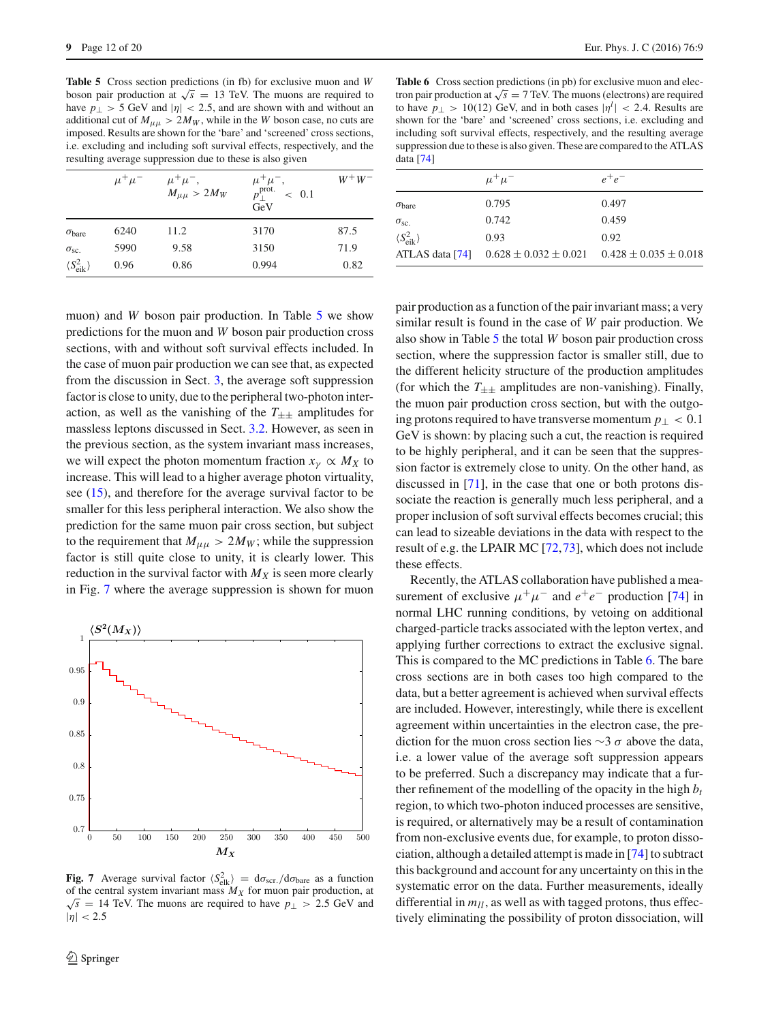<span id="page-11-0"></span>**Table 5** Cross section predictions (in fb) for exclusive muon and *W* boson pair production at  $\sqrt{s}$  = 13 TeV. The muons are required to have  $p_{\perp} > 5$  GeV and  $|\eta| < 2.5$ , and are shown with and without an additional cut of  $M_{\mu\mu} > 2M_W$ , while in the *W* boson case, no cuts are imposed. Results are shown for the 'bare' and 'screened' cross sections, i.e. excluding and including soft survival effects, respectively, and the resulting average suppression due to these is also given

|                                 | $\mu^+\mu^-$ | $\mu^+\mu^-,$<br>$M_{\mu\mu} > 2M_W$ | $\mu^+ \mu^-$ ,<br>$p_{\perp}^{\text{prot.}}$<br>$~<~0.1$<br>GeV | $W^+W^-$ |
|---------------------------------|--------------|--------------------------------------|------------------------------------------------------------------|----------|
| $\sigma_{\text{bare}}$          | 6240         | 11.2                                 | 3170                                                             | 87.5     |
| $\sigma_{\rm sc.}$              | 5990         | 9.58                                 | 3150                                                             | 71.9     |
| $\langle S_{\rm eik}^2 \rangle$ | 0.96         | 0.86                                 | 0.994                                                            | 0.82     |

muon) and *W* boson pair production. In Table [5](#page-11-0) we show predictions for the muon and *W* boson pair production cross sections, with and without soft survival effects included. In the case of muon pair production we can see that, as expected from the discussion in Sect. [3,](#page-3-0) the average soft suppression factor is close to unity, due to the peripheral two-photon interaction, as well as the vanishing of the  $T_{\pm\pm}$  amplitudes for massless leptons discussed in Sect. [3.2.](#page-4-6) However, as seen in the previous section, as the system invariant mass increases, we will expect the photon momentum fraction  $x<sub>y</sub> \propto M<sub>X</sub>$  to increase. This will lead to a higher average photon virtuality, see [\(15\)](#page-4-5), and therefore for the average survival factor to be smaller for this less peripheral interaction. We also show the prediction for the same muon pair cross section, but subject to the requirement that  $M_{\mu\mu} > 2M_W$ ; while the suppression factor is still quite close to unity, it is clearly lower. This reduction in the survival factor with  $M_X$  is seen more clearly in Fig. [7](#page-11-1) where the average suppression is shown for muon



<span id="page-11-1"></span>**Fig. 7** Average survival factor  $\langle S_{\text{elk}}^2 \rangle = d\sigma_{\text{scr}}/d\sigma_{\text{bare}}$  as a function of the central system invariant mass  $M_X$  for muon pair production, at  $\sqrt{s}$  = 14 TeV. The muons are required to have  $p_{\perp} > 2.5$  GeV and  $|\eta| < 2.5$ 

<span id="page-11-2"></span>**Table 6** Cross section predictions (in pb) for exclusive muon and electron pair production at  $\sqrt{s} = 7$  TeV. The muons (electrons) are required to have  $p_{\perp} > 10(12)$  GeV, and in both cases  $|\eta^l| < 2.4$ . Results are shown for the 'bare' and 'screened' cross sections, i.e. excluding and including soft survival effects, respectively, and the resulting average suppression due to these is also given. These are compared to the ATLAS data [\[74\]](#page-19-17)

|                                 | $\mu^+\mu^-$                                | $e^+e^-$                    |
|---------------------------------|---------------------------------------------|-----------------------------|
| $\sigma_{bare}$                 | 0.795                                       | 0.497                       |
| $\sigma_{\rm sc.}$              | 0.742                                       | 0.459                       |
| $\langle S_{\rm eik}^2 \rangle$ | 0.93                                        | 0.92                        |
|                                 | ATLAS data [74] $0.628 \pm 0.032 \pm 0.021$ | $0.428 \pm 0.035 \pm 0.018$ |

pair production as a function of the pair invariant mass; a very similar result is found in the case of *W* pair production. We also show in Table [5](#page-11-0) the total *W* boson pair production cross section, where the suppression factor is smaller still, due to the different helicity structure of the production amplitudes (for which the  $T_{\pm\pm}$  amplitudes are non-vanishing). Finally, the muon pair production cross section, but with the outgoing protons required to have transverse momentum  $p_\perp < 0.1$ GeV is shown: by placing such a cut, the reaction is required to be highly peripheral, and it can be seen that the suppression factor is extremely close to unity. On the other hand, as discussed in [\[71\]](#page-19-18), in the case that one or both protons dissociate the reaction is generally much less peripheral, and a proper inclusion of soft survival effects becomes crucial; this can lead to sizeable deviations in the data with respect to the result of e.g. the LPAIR MC [\[72](#page-19-19),[73](#page-19-20)], which does not include these effects.

Recently, the ATLAS collaboration have published a measurement of exclusive  $\mu^+ \mu^-$  and  $e^+e^-$  production [\[74\]](#page-19-17) in normal LHC running conditions, by vetoing on additional charged-particle tracks associated with the lepton vertex, and applying further corrections to extract the exclusive signal. This is compared to the MC predictions in Table [6.](#page-11-2) The bare cross sections are in both cases too high compared to the data, but a better agreement is achieved when survival effects are included. However, interestingly, while there is excellent agreement within uncertainties in the electron case, the prediction for the muon cross section lies  $\sim$ 3  $\sigma$  above the data, i.e. a lower value of the average soft suppression appears to be preferred. Such a discrepancy may indicate that a further refinement of the modelling of the opacity in the high  $b_t$ region, to which two-photon induced processes are sensitive, is required, or alternatively may be a result of contamination from non-exclusive events due, for example, to proton dissociation, although a detailed attempt is made in [\[74](#page-19-17)] to subtract this background and account for any uncertainty on this in the systematic error on the data. Further measurements, ideally differential in  $m_{ll}$ , as well as with tagged protons, thus effectively eliminating the possibility of proton dissociation, will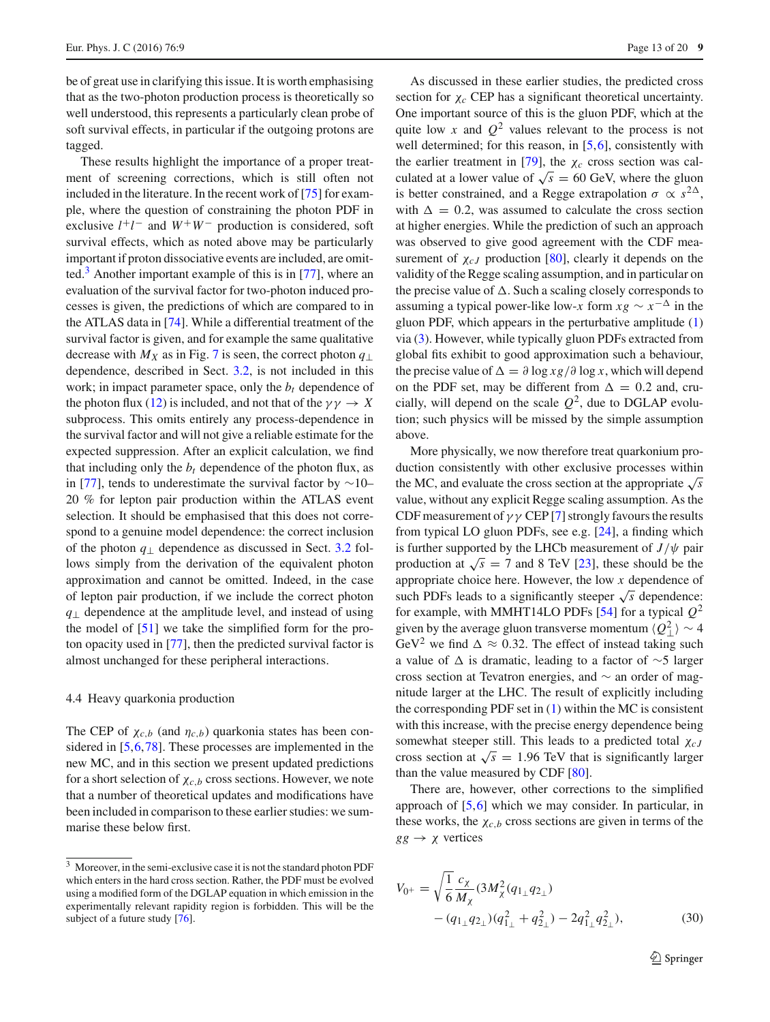be of great use in clarifying this issue. It is worth emphasising that as the two-photon production process is theoretically so well understood, this represents a particularly clean probe of soft survival effects, in particular if the outgoing protons are tagged.

These results highlight the importance of a proper treatment of screening corrections, which is still often not included in the literature. In the recent work of [\[75](#page-19-21)] for example, where the question of constraining the photon PDF in exclusive  $l^+l^-$  and  $W^+W^-$  production is considered, soft survival effects, which as noted above may be particularly important if proton dissociative events are included, are omit-ted.<sup>[3](#page-12-1)</sup> Another important example of this is in  $[77]$ , where an evaluation of the survival factor for two-photon induced processes is given, the predictions of which are compared to in the ATLAS data in [\[74](#page-19-17)]. While a differential treatment of the survival factor is given, and for example the same qualitative decrease with  $M_X$  as in Fig. [7](#page-11-1) is seen, the correct photon  $q_{\perp}$ dependence, described in Sect. [3.2,](#page-4-6) is not included in this work; in impact parameter space, only the  $b_t$  dependence of the photon flux [\(12\)](#page-3-4) is included, and not that of the  $\gamma \gamma \rightarrow X$ subprocess. This omits entirely any process-dependence in the survival factor and will not give a reliable estimate for the expected suppression. After an explicit calculation, we find that including only the  $b_t$  dependence of the photon flux, as in [\[77](#page-19-22)], tends to underestimate the survival factor by ∼10– 20 % for lepton pair production within the ATLAS event selection. It should be emphasised that this does not correspond to a genuine model dependence: the correct inclusion of the photon *q*<sup>⊥</sup> dependence as discussed in Sect. [3.2](#page-4-6) follows simply from the derivation of the equivalent photon approximation and cannot be omitted. Indeed, in the case of lepton pair production, if we include the correct photon *q*⊥ dependence at the amplitude level, and instead of using the model of [\[51\]](#page-18-48) we take the simplified form for the proton opacity used in [\[77\]](#page-19-22), then the predicted survival factor is almost unchanged for these peripheral interactions.

# <span id="page-12-0"></span>4.4 Heavy quarkonia production

The CEP of  $\chi_{c,b}$  (and  $\eta_{c,b}$ ) quarkonia states has been considered in [\[5](#page-18-3)[,6](#page-18-4)[,78](#page-19-23)]. These processes are implemented in the new MC, and in this section we present updated predictions for a short selection of  $\chi_{c,b}$  cross sections. However, we note that a number of theoretical updates and modifications have been included in comparison to these earlier studies: we summarise these below first.

As discussed in these earlier studies, the predicted cross section for  $\chi_c$  CEP has a significant theoretical uncertainty. One important source of this is the gluon PDF, which at the quite low *x* and  $Q^2$  values relevant to the process is not well determined; for this reason, in [\[5](#page-18-3)[,6](#page-18-4)], consistently with the earlier treatment in [\[79](#page-19-25)], the  $\chi_c$  cross section was calculated at a lower value of  $\sqrt{s}$  = 60 GeV, where the gluon is better constrained, and a Regge extrapolation  $\sigma \propto s^{2\Delta}$ , with  $\Delta = 0.2$ , was assumed to calculate the cross section at higher energies. While the prediction of such an approach was observed to give good agreement with the CDF measurement of  $\chi_{cJ}$  production [\[80](#page-19-26)], clearly it depends on the validity of the Regge scaling assumption, and in particular on the precise value of  $\Delta$ . Such a scaling closely corresponds to assuming a typical power-like low-*x* form  $xg \sim x^{-\Delta}$  in the gluon PDF, which appears in the perturbative amplitude [\(1\)](#page-1-2) via [\(3\)](#page-2-0). However, while typically gluon PDFs extracted from global fits exhibit to good approximation such a behaviour, the precise value of  $\Delta = \partial \log x g / \partial \log x$ , which will depend on the PDF set, may be different from  $\Delta = 0.2$  and, crucially, will depend on the scale  $Q^2$ , due to DGLAP evolution; such physics will be missed by the simple assumption above.

More physically, we now therefore treat quarkonium production consistently with other exclusive processes within the MC, and evaluate the cross section at the appropriate  $\sqrt{s}$ value, without any explicit Regge scaling assumption. As the CDF measurement of  $\gamma \gamma$  CEP [\[7](#page-18-5)] strongly favours the results from typical LO gluon PDFs, see e.g. [\[24](#page-18-21)], a finding which is further supported by the LHCb measurement of  $J/\psi$  pair production at  $\sqrt{s}$  = 7 and 8 TeV [\[23\]](#page-18-20), these should be the appropriate choice here. However, the low *x* dependence of such PDFs leads to a significantly steeper  $\sqrt{s}$  dependence: for example, with MMHT14LO PDFs [\[54](#page-19-2)] for a typical  $Q^2$ given by the average gluon transverse momentum  $\langle Q_{\perp}^2 \rangle \sim 4$ GeV<sup>2</sup> we find  $\Delta \approx 0.32$ . The effect of instead taking such a value of is dramatic, leading to a factor of ∼5 larger cross section at Tevatron energies, and ∼ an order of magnitude larger at the LHC. The result of explicitly including the corresponding PDF set in [\(1\)](#page-1-2) within the MC is consistent with this increase, with the precise energy dependence being somewhat steeper still. This leads to a predicted total χ*c J* cross section at  $\sqrt{s} = 1.96$  TeV that is significantly larger than the value measured by CDF [\[80\]](#page-19-26).

There are, however, other corrections to the simplified approach of [\[5,](#page-18-3)[6\]](#page-18-4) which we may consider. In particular, in these works, the  $\chi_{c,b}$  cross sections are given in terms of the  $gg \rightarrow \chi$  vertices

<span id="page-12-2"></span>
$$
V_{0^{+}} = \sqrt{\frac{1}{6}} \frac{c_{\chi}}{M_{\chi}} (3M_{\chi}^{2}(q_{1_{\perp}}q_{2_{\perp}})) - (q_{1_{\perp}}q_{2_{\perp}})(q_{1_{\perp}}^{2} + q_{2_{\perp}}^{2}) - 2q_{1_{\perp}}^{2}q_{2_{\perp}}^{2}),
$$
\n(30)

<span id="page-12-1"></span><sup>3</sup> Moreover, in the semi-exclusive case it is not the standard photon PDF which enters in the hard cross section. Rather, the PDF must be evolved using a modified form of the DGLAP equation in which emission in the experimentally relevant rapidity region is forbidden. This will be the subject of a future study [\[76](#page-19-24)].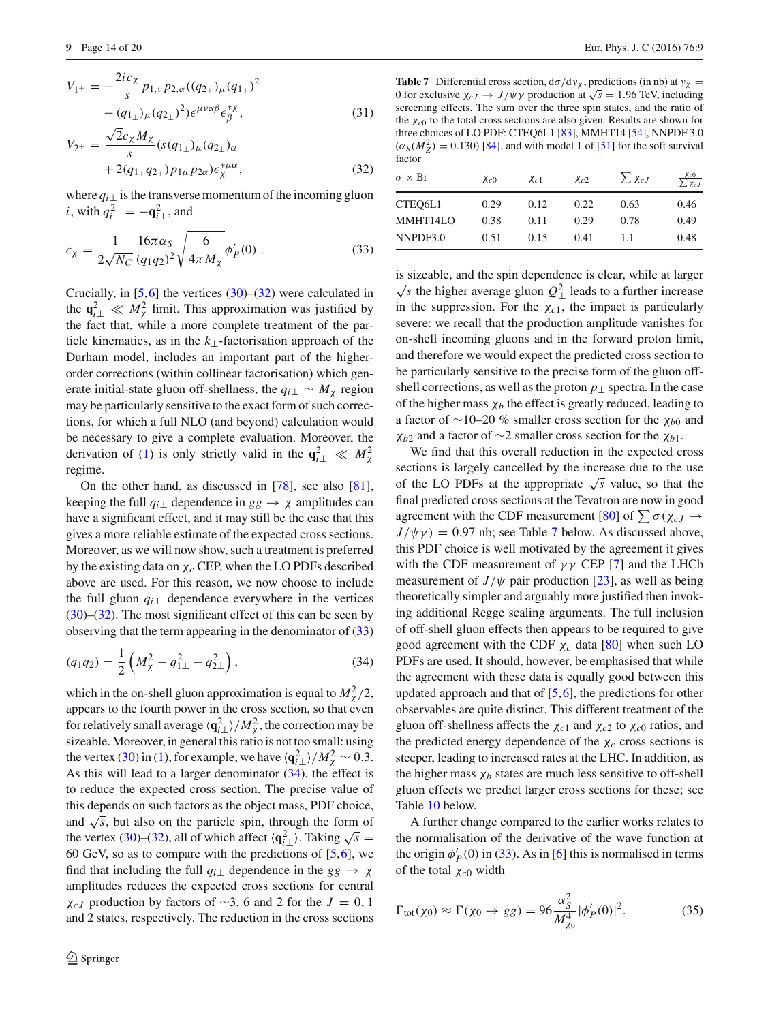$$
V_{1^{+}} = -\frac{2ic_{\chi}}{s} p_{1,\nu} p_{2,\alpha} ((q_{2_{\perp}})_{\mu} (q_{1_{\perp}})^{2}
$$

$$
- (q_{1_{\perp}})_{\mu} (q_{2_{\perp}})^{2}) \epsilon^{\mu\nu\alpha\beta} \epsilon^{\ast\chi}_{\beta}, \qquad (31)
$$

$$
V_{2^{+}} = \frac{\sqrt{2}c_{\chi}M_{\chi}}{s}(s(q_{1_{\perp}})_{\mu}(q_{2_{\perp}})_{\alpha} + 2(q_{1_{\perp}}q_{2_{\perp}})p_{1\mu}p_{2\alpha})\epsilon_{\chi}^{*\mu\alpha},
$$
\n(32)

<span id="page-13-0"></span>where  $q_i$ <sub>⊥</sub> is the transverse momentum of the incoming gluon *i*, with  $q_{i\perp}^2 = -\mathbf{q}_{i\perp}^2$ , and

$$
c_{\chi} = \frac{1}{2\sqrt{N_C}} \frac{16\pi\alpha_S}{(q_1q_2)^2} \sqrt{\frac{6}{4\pi M_{\chi}}} \phi'_P(0) .
$$
 (33)

Crucially, in  $[5,6]$  $[5,6]$  the vertices  $(30)$ – $(32)$  were calculated in the  $\mathbf{q}_{i\perp}^2 \ll M_\chi^2$  limit. This approximation was justified by the fact that, while a more complete treatment of the particle kinematics, as in the *k*⊥-factorisation approach of the Durham model, includes an important part of the higherorder corrections (within collinear factorisation) which generate initial-state gluon off-shellness, the  $q_{i\perp} \sim M_{\chi}$  region may be particularly sensitive to the exact form of such corrections, for which a full NLO (and beyond) calculation would be necessary to give a complete evaluation. Moreover, the derivation of [\(1\)](#page-1-2) is only strictly valid in the  $q_{i\perp}^2 \ll M_{\chi}^2$ regime.

On the other hand, as discussed in [\[78\]](#page-19-23), see also [\[81](#page-19-27)], keeping the full  $q_i$ <sub>⊥</sub> dependence in  $gg \to \chi$  amplitudes can have a significant effect, and it may still be the case that this gives a more reliable estimate of the expected cross sections. Moreover, as we will now show, such a treatment is preferred by the existing data on χ*c* CEP, when the LO PDFs described above are used. For this reason, we now choose to include the full gluon  $q_i$ <sub>⊥</sub> dependence everywhere in the vertices  $(30)$ – $(32)$ . The most significant effect of this can be seen by observing that the term appearing in the denominator of [\(33\)](#page-13-0)

<span id="page-13-1"></span>
$$
(q_1q_2) = \frac{1}{2} \left( M_\chi^2 - q_{1\perp}^2 - q_{2\perp}^2 \right),\tag{34}
$$

which in the on-shell gluon approximation is equal to  $M_\chi^2/2$ , appears to the fourth power in the cross section, so that even for relatively small average  $\langle \mathbf{q}_{i\perp}^2 \rangle / M_\chi^2$ , the correction may be sizeable. Moreover, in general this ratio is not too small: using the vertex [\(30\)](#page-12-2) in [\(1\)](#page-1-2), for example, we have  $\langle \mathbf{q}_{i\perp}^2 \rangle / M_\chi^2 \sim 0.3$ . As this will lead to a larger denominator  $(34)$ , the effect is to reduce the expected cross section. The precise value of this depends on such factors as the object mass, PDF choice, and  $\sqrt{s}$ , but also on the particle spin, through the form of the vertex [\(30\)](#page-12-2)–[\(32\)](#page-12-2), all of which affect  $\langle \mathbf{q}_{i\perp}^2 \rangle$ . Taking  $\sqrt{s} =$ 60 GeV, so as to compare with the predictions of  $[5,6]$  $[5,6]$ , we find that including the full  $q_i$ <sub>⊥</sub> dependence in the  $gg \rightarrow \chi$ amplitudes reduces the expected cross sections for central  $\chi$ <sub>*cJ*</sub> production by factors of ∼3, 6 and 2 for the *J* = 0, 1 and 2 states, respectively. The reduction in the cross sections

<span id="page-13-2"></span>**Table 7** Differential cross section,  $d\sigma/dy_\chi$ , predictions (in nb) at  $y_\chi$  = 0 for exclusive  $\chi_{cJ} \to J/\psi \gamma$  production at  $\sqrt{s} = 1.96$  TeV, including screening effects. The sum over the three spin states, and the ratio of the χ*c*<sup>0</sup> to the total cross sections are also given. Results are shown for three choices of LO PDF: CTEQ6L1 [\[83\]](#page-19-28), MMHT14 [\[54](#page-19-2)], NNPDF 3.0  $(\alpha_S(M_Z^2) = 0.130)$  [\[84](#page-19-29)], and with model 1 of [\[51](#page-18-48)] for the soft survival factor

| $\sigma \times Br$  | $\chi_{c0}$ | $\chi_{c1}$ | $\chi_{c2}$ | $\sum \chi_{cJ}$ | $\chi_{c0}$<br>$\chi_{cJ}$ |
|---------------------|-------------|-------------|-------------|------------------|----------------------------|
| CTEO <sub>6L1</sub> | 0.29        | 0.12        | 0.22        | 0.63             | 0.46                       |
| MMHT14LO            | 0.38        | 0.11        | 0.29        | 0.78             | 0.49                       |
| NNPDF3.0            | 0.51        | 0.15        | 0.41        | 11               | 0.48                       |
|                     |             |             |             |                  |                            |

is sizeable, and the spin dependence is clear, while at larger  $\sqrt{s}$  the higher average gluon  $Q_{\perp}^2$  leads to a further increase in the suppression. For the  $\chi_{c1}$ , the impact is particularly severe: we recall that the production amplitude vanishes for on-shell incoming gluons and in the forward proton limit, and therefore we would expect the predicted cross section to be particularly sensitive to the precise form of the gluon offshell corrections, as well as the proton  $p_\perp$  spectra. In the case of the higher mass  $\chi_b$  the effect is greatly reduced, leading to a factor of ∼10–20 % smaller cross section for the χ*b*<sup>0</sup> and  $\chi_{b2}$  and a factor of ∼2 smaller cross section for the  $\chi_{b1}$ .

We find that this overall reduction in the expected cross sections is largely cancelled by the increase due to the use of the LO PDFs at the appropriate  $\sqrt{s}$  value, so that the final predicted cross sections at the Tevatron are now in good agreement with the CDF measurement [\[80](#page-19-26)] of  $\sum \sigma(\chi_{cJ} \rightarrow$  $J/\psi \gamma$  = 0.9[7](#page-13-2) nb; see Table 7 below. As discussed above, this PDF choice is well motivated by the agreement it gives with the CDF measurement of  $\gamma\gamma$  CEP [\[7\]](#page-18-5) and the LHCb measurement of  $J/\psi$  pair production [\[23\]](#page-18-20), as well as being theoretically simpler and arguably more justified then invoking additional Regge scaling arguments. The full inclusion of off-shell gluon effects then appears to be required to give good agreement with the CDF χ*c* data [\[80](#page-19-26)] when such LO PDFs are used. It should, however, be emphasised that while the agreement with these data is equally good between this updated approach and that of  $[5,6]$  $[5,6]$  $[5,6]$ , the predictions for other observables are quite distinct. This different treatment of the gluon off-shellness affects the χ*c*<sup>1</sup> and χ*c*<sup>2</sup> to χ*c*<sup>0</sup> ratios, and the predicted energy dependence of the  $\chi_c$  cross sections is steeper, leading to increased rates at the LHC. In addition, as the higher mass  $\chi_b$  states are much less sensitive to off-shell gluon effects we predict larger cross sections for these; see Table [10](#page-15-1) below.

A further change compared to the earlier works relates to the normalisation of the derivative of the wave function at the origin  $\phi'_{P}(0)$  in [\(33\)](#page-13-0). As in [\[6](#page-18-4)] this is normalised in terms of the total χ*c*<sup>0</sup> width

$$
\Gamma_{\text{tot}}(\chi_0) \approx \Gamma(\chi_0 \to gg) = 96 \frac{\alpha_S^2}{M_{\chi_0}^4} |\phi_P'(0)|^2. \tag{35}
$$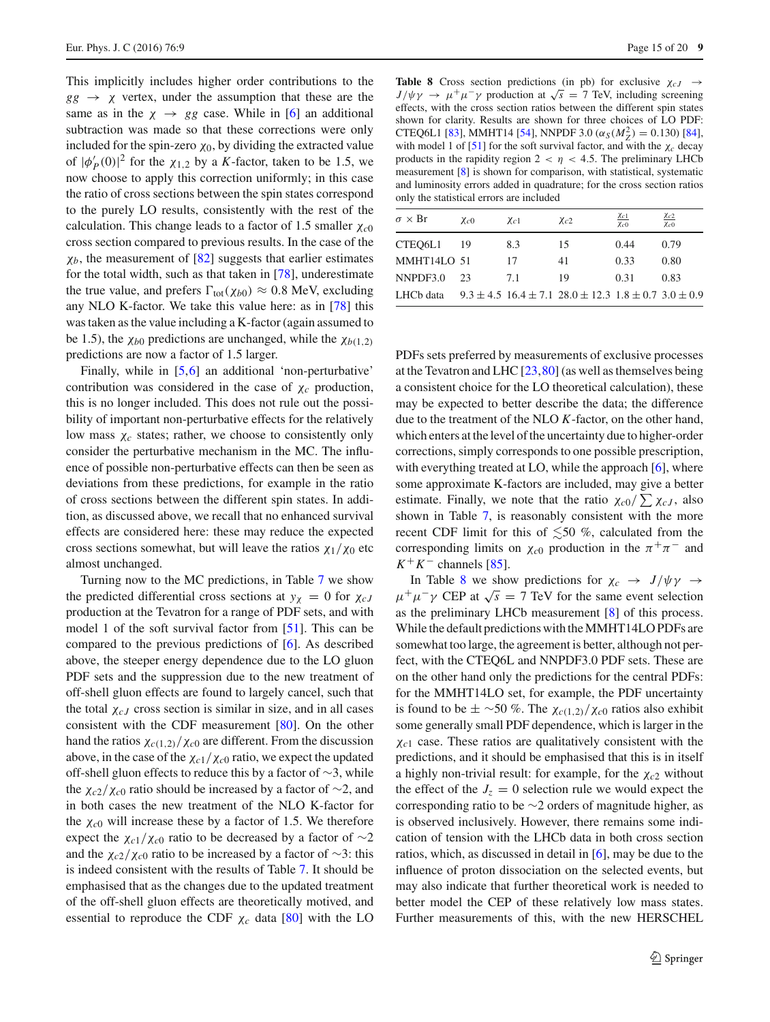This implicitly includes higher order contributions to the  $gg \rightarrow \chi$  vertex, under the assumption that these are the same as in the  $\chi \rightarrow gg$  case. While in [\[6\]](#page-18-4) an additional subtraction was made so that these corrections were only included for the spin-zero  $\chi_0$ , by dividing the extracted value of  $|\phi'_{P}(0)|^2$  for the  $\chi_{1,2}$  by a *K*-factor, taken to be 1.5, we now choose to apply this correction uniformly; in this case the ratio of cross sections between the spin states correspond to the purely LO results, consistently with the rest of the calculation. This change leads to a factor of 1.5 smaller χ*c*<sup>0</sup> cross section compared to previous results. In the case of the  $\chi_b$ , the measurement of  $[82]$  suggests that earlier estimates for the total width, such as that taken in [\[78\]](#page-19-23), underestimate the true value, and prefers  $\Gamma_{\text{tot}}(\chi_{b0}) \approx 0.8$  MeV, excluding any NLO K-factor. We take this value here: as in [\[78](#page-19-23)] this was taken as the value including a K-factor (again assumed to be 1.5), the  $\chi_{b0}$  predictions are unchanged, while the  $\chi_{b(1,2)}$ predictions are now a factor of 1.5 larger.

Finally, while in [\[5](#page-18-3)[,6](#page-18-4)] an additional 'non-perturbative' contribution was considered in the case of χ*c* production, this is no longer included. This does not rule out the possibility of important non-perturbative effects for the relatively low mass  $\chi_c$  states; rather, we choose to consistently only consider the perturbative mechanism in the MC. The influence of possible non-perturbative effects can then be seen as deviations from these predictions, for example in the ratio of cross sections between the different spin states. In addition, as discussed above, we recall that no enhanced survival effects are considered here: these may reduce the expected cross sections somewhat, but will leave the ratios  $\chi_1/\chi_0$  etc almost unchanged.

Turning now to the MC predictions, in Table [7](#page-13-2) we show the predicted differential cross sections at  $y_\chi = 0$  for  $\chi_{cJ}$ production at the Tevatron for a range of PDF sets, and with model 1 of the soft survival factor from [\[51\]](#page-18-48). This can be compared to the previous predictions of [\[6\]](#page-18-4). As described above, the steeper energy dependence due to the LO gluon PDF sets and the suppression due to the new treatment of off-shell gluon effects are found to largely cancel, such that the total  $\chi_{cJ}$  cross section is similar in size, and in all cases consistent with the CDF measurement [\[80\]](#page-19-26). On the other hand the ratios  $\chi_{c(1,2)}/\chi_{c0}$  are different. From the discussion above, in the case of the  $\chi_{c1}/\chi_{c0}$  ratio, we expect the updated off-shell gluon effects to reduce this by a factor of ∼3, while the χ*c*2/χ*c*<sup>0</sup> ratio should be increased by a factor of ∼2, and in both cases the new treatment of the NLO K-factor for the  $\chi_{c0}$  will increase these by a factor of 1.5. We therefore expect the  $\chi_{c1}/\chi_{c0}$  ratio to be decreased by a factor of ∼2 and the χ*c*2/χ*c*<sup>0</sup> ratio to be increased by a factor of ∼3: this is indeed consistent with the results of Table [7.](#page-13-2) It should be emphasised that as the changes due to the updated treatment of the off-shell gluon effects are theoretically motived, and essential to reproduce the CDF  $\chi_c$  data [\[80](#page-19-26)] with the LO

<span id="page-14-0"></span>**Table 8** Cross section predictions (in pb) for exclusive  $\chi_{cJ} \rightarrow$  $J/\psi \gamma \rightarrow \mu^+ \mu^- \gamma$  production at  $\sqrt{s} = 7$  TeV, including screening effects, with the cross section ratios between the different spin states shown for clarity. Results are shown for three choices of LO PDF: CTEQ6L1 [\[83](#page-19-28)], MMHT14 [\[54\]](#page-19-2), NNPDF 3.0 ( $\alpha_S(M_Z^2) = 0.130$ ) [\[84](#page-19-29)], with model 1 of  $[51]$  $[51]$  for the soft survival factor, and with the  $\chi_c$  decay products in the rapidity region  $2 < \eta < 4.5$ . The preliminary LHCb measurement [\[8\]](#page-18-49) is shown for comparison, with statistical, systematic and luminosity errors added in quadrature; for the cross section ratios only the statistical errors are included

| $\sigma \times \text{Br}$ | $\chi_{c0}$ | $\chi_{c1}$ | $\chi_{c2}$                                                              | Xc1<br>$\chi_{c0}$ | Xc2<br>$\chi_{c0}$ |
|---------------------------|-------------|-------------|--------------------------------------------------------------------------|--------------------|--------------------|
| CTEO <sub>6L1</sub>       | 19          | 8.3         | 15                                                                       | 0.44               | 0.79               |
| MMHT14LO 51               |             | 17          | 41                                                                       | 0.33               | 0.80               |
| NNPDF3.0                  | 23          | 71          | 19                                                                       | 0.31               | 0.83               |
| LHCb data                 |             |             | $9.3 \pm 4.5$ 16.4 $\pm$ 7.1 28.0 $\pm$ 12.3 1.8 $\pm$ 0.7 3.0 $\pm$ 0.9 |                    |                    |

PDFs sets preferred by measurements of exclusive processes at the Tevatron and LHC  $[23,80]$  $[23,80]$  $[23,80]$  (as well as themselves being a consistent choice for the LO theoretical calculation), these may be expected to better describe the data; the difference due to the treatment of the NLO *K*-factor, on the other hand, which enters at the level of the uncertainty due to higher-order corrections, simply corresponds to one possible prescription, with everything treated at LO, while the approach [\[6](#page-18-4)], where some approximate K-factors are included, may give a better estimate. Finally, we note that the ratio  $\chi_{c0}/\sum \chi_{cJ}$ , also shown in Table [7,](#page-13-2) is reasonably consistent with the more recent CDF limit for this of  $\leq 50$  %, calculated from the corresponding limits on  $\chi_{c0}$  production in the  $\pi^{+}\pi^{-}$  and  $K^+K^-$  channels [\[85](#page-19-31)].

In Table [8](#page-14-0) we show predictions for  $\chi_c \rightarrow J/\psi \gamma \rightarrow$  $\mu^+\mu^-\gamma$  CEP at  $\sqrt{s} = 7$  TeV for the same event selection as the preliminary LHCb measurement [\[8\]](#page-18-49) of this process. While the default predictions with the MMHT14LO PDFs are somewhat too large, the agreement is better, although not perfect, with the CTEQ6L and NNPDF3.0 PDF sets. These are on the other hand only the predictions for the central PDFs: for the MMHT14LO set, for example, the PDF uncertainty is found to be  $\pm \sim 50$  %. The  $\chi_{c(1,2)}/\chi_{c0}$  ratios also exhibit some generally small PDF dependence, which is larger in the χ*c*<sup>1</sup> case. These ratios are qualitatively consistent with the predictions, and it should be emphasised that this is in itself a highly non-trivial result: for example, for the χ*c*<sup>2</sup> without the effect of the  $J_z = 0$  selection rule we would expect the corresponding ratio to be ∼2 orders of magnitude higher, as is observed inclusively. However, there remains some indication of tension with the LHCb data in both cross section ratios, which, as discussed in detail in [\[6](#page-18-4)], may be due to the influence of proton dissociation on the selected events, but may also indicate that further theoretical work is needed to better model the CEP of these relatively low mass states. Further measurements of this, with the new HERSCHEL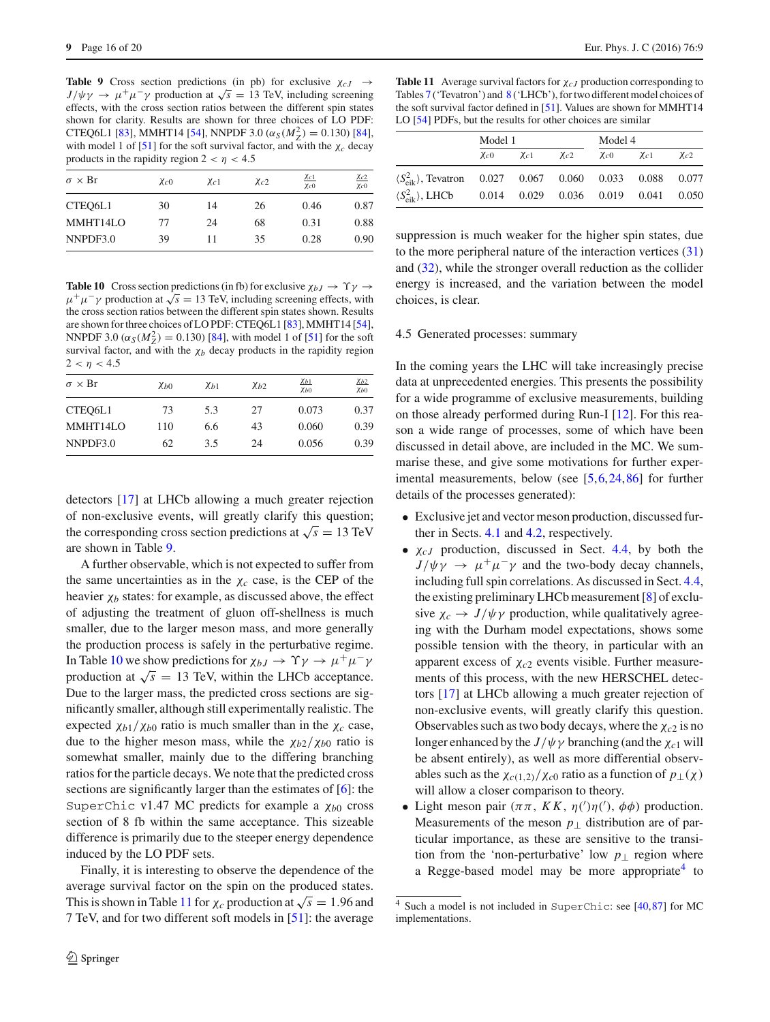<span id="page-15-2"></span>**Table 9** Cross section predictions (in pb) for exclusive  $\chi_{cJ} \rightarrow$  $J/\psi \gamma \rightarrow \mu^+ \mu^- \gamma$  production at  $\sqrt{s} = 13$  TeV, including screening effects, with the cross section ratios between the different spin states shown for clarity. Results are shown for three choices of LO PDF: CTEQ6L1 [\[83](#page-19-28)], MMHT14 [\[54\]](#page-19-2), NNPDF 3.0  $(\alpha_S(M_Z^2) = 0.130)$  [\[84](#page-19-29)], with model 1 of  $[51]$  $[51]$  for the soft survival factor, and with the  $\chi_c$  decay products in the rapidity region  $2 < \eta < 4.5$ 

| $\sigma \times Br$ | $\chi_{c0}$ | $\chi_{c1}$ | $\chi_{c2}$ | $\chi_{c1}$<br>$\chi_{C}$ <sub>0</sub> | $\chi_{c2}$<br>$\chi_{c0}$ |
|--------------------|-------------|-------------|-------------|----------------------------------------|----------------------------|
| CTEO6L1            | 30          | 14          | 26          | 0.46                                   | 0.87                       |
| MMHT14LO           | 77          | 24          | 68          | 0.31                                   | 0.88                       |
| NNPDF3.0           | 39          | 11          | 35          | 0.28                                   | 0.90                       |

<span id="page-15-1"></span>**Table 10** Cross section predictions (in fb) for exclusive  $\chi_{bJ} \to \Upsilon \gamma \to$  $\mu^+ \mu^- \gamma$  production at  $\sqrt{s} = 13$  TeV, including screening effects, with the cross section ratios between the different spin states shown. Results are shown for three choices of LO PDF: CTEQ6L1 [\[83\]](#page-19-28), MMHT14 [\[54](#page-19-2)], NNPDF 3.0  $(\alpha_S(M_Z^2) = 0.130)$  [\[84](#page-19-29)], with model 1 of [\[51\]](#page-18-48) for the soft survival factor, and with the  $\chi_b$  decay products in the rapidity region  $2 < \eta < 4.5$ 

| $\sigma \times \text{Br}$ | Xb0 | Xb1 | Xb2 | Xb1<br>Xb0 | Xb2<br>Xb0 |
|---------------------------|-----|-----|-----|------------|------------|
| CTEO6L1                   | 73  | 5.3 | 27  | 0.073      | 0.37       |
| MMHT14LO                  | 110 | 6.6 | 43  | 0.060      | 0.39       |
| NNPDF3.0                  | 62  | 3.5 | 24  | 0.056      | 0.39       |

detectors [\[17](#page-18-14)] at LHCb allowing a much greater rejection of non-exclusive events, will greatly clarify this question; the corresponding cross section predictions at  $\sqrt{s} = 13$  TeV are shown in Table [9.](#page-15-2)

A further observable, which is not expected to suffer from the same uncertainties as in the  $\chi_c$  case, is the CEP of the heavier  $\chi_b$  states: for example, as discussed above, the effect of adjusting the treatment of gluon off-shellness is much smaller, due to the larger meson mass, and more generally the production process is safely in the perturbative regime. In Table [10](#page-15-1) we show predictions for  $\chi_{bJ} \to \Upsilon \gamma \to \mu^+ \mu^- \gamma$ production at  $\sqrt{s} = 13$  TeV, within the LHCb acceptance. Due to the larger mass, the predicted cross sections are significantly smaller, although still experimentally realistic. The expected  $\chi_{b1}/\chi_{b0}$  ratio is much smaller than in the  $\chi_c$  case, due to the higher meson mass, while the  $\chi_{b2}/\chi_{b0}$  ratio is somewhat smaller, mainly due to the differing branching ratios for the particle decays. We note that the predicted cross sections are significantly larger than the estimates of [\[6\]](#page-18-4): the SuperChic v1.47 MC predicts for example a χ*b*<sup>0</sup> cross section of 8 fb within the same acceptance. This sizeable difference is primarily due to the steeper energy dependence induced by the LO PDF sets.

Finally, it is interesting to observe the dependence of the average survival factor on the spin on the produced states. This is shown in Table [11](#page-15-3) for  $\chi_c$  production at  $\sqrt{s} = 1.96$  and 7 TeV, and for two different soft models in [\[51](#page-18-48)]: the average

<span id="page-15-3"></span>**Table 11** Average survival factors for χ*c J* production corresponding to Tables [7](#page-13-2) ('Tevatron') and [8](#page-14-0) ('LHCb'), for two different model choices of the soft survival factor defined in [\[51](#page-18-48)]. Values are shown for MMHT14 LO [\[54\]](#page-19-2) PDFs, but the results for other choices are similar

|                                                                                     | Model 1     |             |             | Model 4                 |  |             |
|-------------------------------------------------------------------------------------|-------------|-------------|-------------|-------------------------|--|-------------|
|                                                                                     | $\chi_{c0}$ | $\chi_{c1}$ | $\chi_{c2}$ | $\chi_{c0}$ $\chi_{c1}$ |  | $\chi_{c2}$ |
| $\langle S_{\text{eik}}^2 \rangle$ , Tevatron 0.027 0.067 0.060 0.033 0.088 0.077   |             |             |             |                         |  |             |
| $\langle S_{\text{eik}}^2 \rangle$ , LHCb  0.014  0.029  0.036  0.019  0.041  0.050 |             |             |             |                         |  |             |

suppression is much weaker for the higher spin states, due to the more peripheral nature of the interaction vertices [\(31\)](#page-12-2) and [\(32\)](#page-12-2), while the stronger overall reduction as the collider energy is increased, and the variation between the model choices, is clear.

#### <span id="page-15-0"></span>4.5 Generated processes: summary

In the coming years the LHC will take increasingly precise data at unprecedented energies. This presents the possibility for a wide programme of exclusive measurements, building on those already performed during Run-I [\[12\]](#page-18-9). For this reason a wide range of processes, some of which have been discussed in detail above, are included in the MC. We summarise these, and give some motivations for further experimental measurements, below (see [\[5,](#page-18-3)[6](#page-18-4)[,24](#page-18-21)[,86](#page-19-32)] for further details of the processes generated):

- Exclusive jet and vector meson production, discussed further in Sects. [4.1](#page-5-0) and [4.2,](#page-8-0) respectively.
- $\chi_{cJ}$  production, discussed in Sect. [4.4,](#page-12-0) by both the  $J/\psi \gamma \rightarrow \mu^+ \mu^- \gamma$  and the two-body decay channels, including full spin correlations. As discussed in Sect. [4.4,](#page-12-0) the existing preliminary LHCb measurement [\[8\]](#page-18-49) of exclusive  $\chi_c \to J/\psi \gamma$  production, while qualitatively agreeing with the Durham model expectations, shows some possible tension with the theory, in particular with an apparent excess of χ*c*<sup>2</sup> events visible. Further measurements of this process, with the new HERSCHEL detectors [\[17](#page-18-14)] at LHCb allowing a much greater rejection of non-exclusive events, will greatly clarify this question. Observables such as two body decays, where the  $\chi_{c2}$  is no longer enhanced by the  $J/\psi \gamma$  branching (and the  $\chi_{c1}$  will be absent entirely), as well as more differential observables such as the  $\chi_{c(1,2)}/\chi_{c0}$  ratio as a function of  $p_{\perp}(\chi)$ will allow a closer comparison to theory.
- Light meson pair  $(\pi \pi, K K, \eta)'(\eta'), \phi \phi$  production. Measurements of the meson *p*<sup>⊥</sup> distribution are of particular importance, as these are sensitive to the transition from the 'non-perturbative' low  $p_{\perp}$  region where a Regge-based model may be more appropriate<sup>4</sup> to

<span id="page-15-4"></span><sup>4</sup> Such a model is not included in SuperChic: see [\[40,](#page-18-35)[87](#page-19-33)] for MC implementations.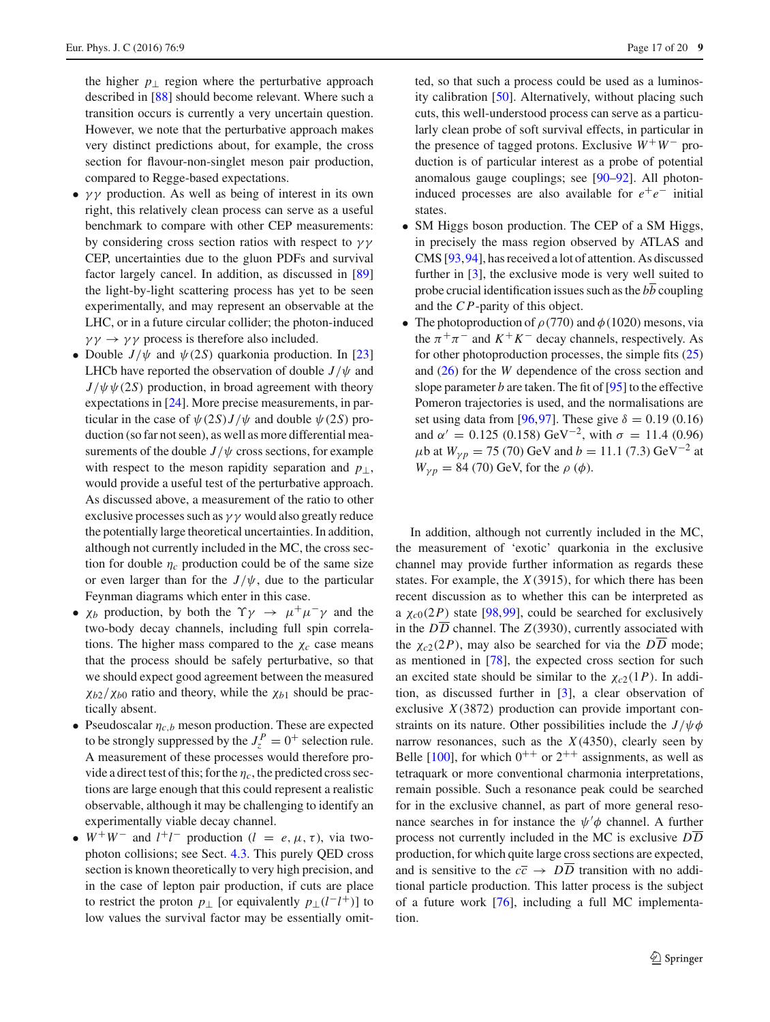the higher  $p_{\perp}$  region where the perturbative approach described in [\[88](#page-19-34)] should become relevant. Where such a transition occurs is currently a very uncertain question. However, we note that the perturbative approach makes very distinct predictions about, for example, the cross section for flavour-non-singlet meson pair production, compared to Regge-based expectations.

- $\gamma\gamma$  production. As well as being of interest in its own right, this relatively clean process can serve as a useful benchmark to compare with other CEP measurements: by considering cross section ratios with respect to  $\gamma\gamma$ CEP, uncertainties due to the gluon PDFs and survival factor largely cancel. In addition, as discussed in [\[89\]](#page-19-35) the light-by-light scattering process has yet to be seen experimentally, and may represent an observable at the LHC, or in a future circular collider; the photon-induced  $\gamma \gamma \rightarrow \gamma \gamma$  process is therefore also included.
- Double  $J/\psi$  and  $\psi$  (2*S*) quarkonia production. In [\[23\]](#page-18-20) LHCb have reported the observation of double  $J/\psi$  and  $J/\psi \psi(2S)$  production, in broad agreement with theory expectations in [\[24\]](#page-18-21). More precise measurements, in particular in the case of  $\psi(2S)J/\psi$  and double  $\psi(2S)$  production (so far not seen), as well as more differential measurements of the double  $J/\psi$  cross sections, for example with respect to the meson rapidity separation and *p*⊥, would provide a useful test of the perturbative approach. As discussed above, a measurement of the ratio to other exclusive processes such as  $\gamma \gamma$  would also greatly reduce the potentially large theoretical uncertainties. In addition, although not currently included in the MC, the cross section for double  $\eta_c$  production could be of the same size or even larger than for the  $J/\psi$ , due to the particular Feynman diagrams which enter in this case.
- $\chi_b$  production, by both the  $\Upsilon \gamma \rightarrow \mu^+ \mu^- \gamma$  and the two-body decay channels, including full spin correlations. The higher mass compared to the  $\chi_c$  case means that the process should be safely perturbative, so that we should expect good agreement between the measured  $\chi_{b2}/\chi_{b0}$  ratio and theory, while the  $\chi_{b1}$  should be practically absent.
- Pseudoscalar  $\eta_{c,b}$  meson production. These are expected to be strongly suppressed by the  $J_z^P = 0^+$  selection rule. A measurement of these processes would therefore provide a direct test of this; for the  $\eta_c$ , the predicted cross sections are large enough that this could represent a realistic observable, although it may be challenging to identify an experimentally viable decay channel.
- $W^+W^-$  and  $l^+l^-$  production ( $l = e, \mu, \tau$ ), via twophoton collisions; see Sect. [4.3.](#page-10-0) This purely QED cross section is known theoretically to very high precision, and in the case of lepton pair production, if cuts are place to restrict the proton  $p_{\perp}$  [or equivalently  $p_{\perp}(l-l^+)$ ] to low values the survival factor may be essentially omit-

ted, so that such a process could be used as a luminosity calibration [\[50\]](#page-18-44). Alternatively, without placing such cuts, this well-understood process can serve as a particularly clean probe of soft survival effects, in particular in the presence of tagged protons. Exclusive  $W^+W^-$  production is of particular interest as a probe of potential anomalous gauge couplings; see [\[90](#page-19-36)[–92\]](#page-19-37). All photoninduced processes are also available for  $e^+e^-$  initial states.

- SM Higgs boson production. The CEP of a SM Higgs, in precisely the mass region observed by ATLAS and CMS [\[93](#page-19-38)[,94](#page-19-39)], has received a lot of attention. As discussed further in [\[3](#page-18-2)], the exclusive mode is very well suited to probe crucial identification issues such as the  $b\overline{b}$  coupling and the *C P*-parity of this object.
- The photoproduction of  $\rho$  (770) and  $\phi$  (1020) mesons, via the  $\pi^{+}\pi^{-}$  and  $K^{+}K^{-}$  decay channels, respectively. As for other photoproduction processes, the simple fits  $(25)$ and [\(26\)](#page-8-4) for the *W* dependence of the cross section and slope parameter *b* are taken. The fit of [\[95\]](#page-19-40) to the effective Pomeron trajectories is used, and the normalisations are set using data from [\[96,](#page-19-41)[97\]](#page-19-42). These give  $\delta = 0.19$  (0.16) and  $\alpha' = 0.125$  (0.158) GeV<sup>-2</sup>, with  $\sigma = 11.4$  (0.96)  $\mu$ b at  $W_{\nu p} = 75 (70)$  GeV and  $b = 11.1 (7.3)$  GeV<sup>-2</sup> at  $W_{\gamma p} = 84 (70) \text{ GeV}$ , for the  $\rho (\phi)$ .

In addition, although not currently included in the MC, the measurement of 'exotic' quarkonia in the exclusive channel may provide further information as regards these states. For example, the *X*(3915), for which there has been recent discussion as to whether this can be interpreted as a  $\chi_{c0}(2P)$  state [\[98](#page-19-43)[,99](#page-19-44)], could be searched for exclusively in the  $D\overline{D}$  channel. The *Z*(3930), currently associated with the  $\chi_{c2}(2P)$ , may also be searched for via the  $D\overline{D}$  mode; as mentioned in [\[78](#page-19-23)], the expected cross section for such an excited state should be similar to the  $\chi_{c2}(1P)$ . In addition, as discussed further in [\[3\]](#page-18-2), a clear observation of exclusive *X*(3872) production can provide important constraints on its nature. Other possibilities include the  $J/\psi\phi$ narrow resonances, such as the  $X(4350)$ , clearly seen by Belle [\[100](#page-19-45)], for which  $0^{++}$  or  $2^{++}$  assignments, as well as tetraquark or more conventional charmonia interpretations, remain possible. Such a resonance peak could be searched for in the exclusive channel, as part of more general resonance searches in for instance the  $\psi' \phi$  channel. A further process not currently included in the MC is exclusive *DD* production, for which quite large cross sections are expected, and is sensitive to the  $c\bar{c} \rightarrow D\bar{D}$  transition with no additional particle production. This latter process is the subject of a future work [\[76](#page-19-24)], including a full MC implementation.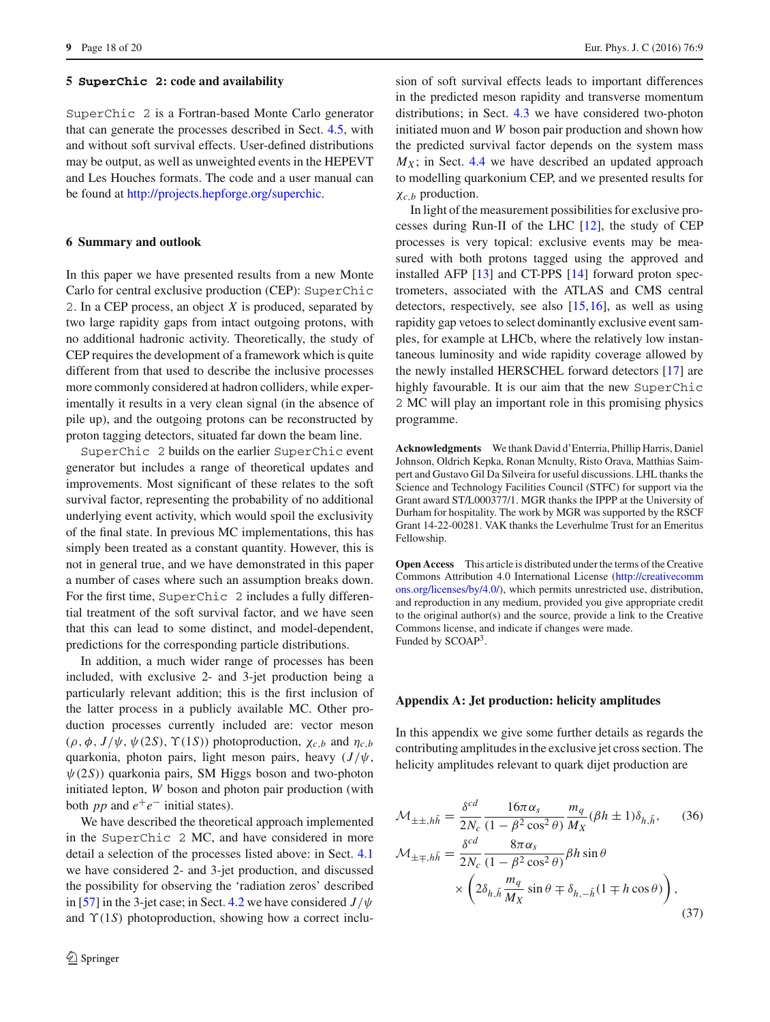#### <span id="page-17-0"></span>**5 SuperChic 2: code and availability**

SuperChic 2 is a Fortran-based Monte Carlo generator that can generate the processes described in Sect. [4.5,](#page-15-0) with and without soft survival effects. User-defined distributions may be output, as well as unweighted events in the HEPEVT and Les Houches formats. The code and a user manual can be found at [http://projects.hepforge.org/superchic.](http://projects.hepforge.org/superchic)

#### <span id="page-17-1"></span>**6 Summary and outlook**

In this paper we have presented results from a new Monte Carlo for central exclusive production (CEP): SuperChic 2. In a CEP process, an object *X* is produced, separated by two large rapidity gaps from intact outgoing protons, with no additional hadronic activity. Theoretically, the study of CEP requires the development of a framework which is quite different from that used to describe the inclusive processes more commonly considered at hadron colliders, while experimentally it results in a very clean signal (in the absence of pile up), and the outgoing protons can be reconstructed by proton tagging detectors, situated far down the beam line.

SuperChic 2 builds on the earlier SuperChic event generator but includes a range of theoretical updates and improvements. Most significant of these relates to the soft survival factor, representing the probability of no additional underlying event activity, which would spoil the exclusivity of the final state. In previous MC implementations, this has simply been treated as a constant quantity. However, this is not in general true, and we have demonstrated in this paper a number of cases where such an assumption breaks down. For the first time, SuperChic 2 includes a fully differential treatment of the soft survival factor, and we have seen that this can lead to some distinct, and model-dependent, predictions for the corresponding particle distributions.

In addition, a much wider range of processes has been included, with exclusive 2- and 3-jet production being a particularly relevant addition; this is the first inclusion of the latter process in a publicly available MC. Other production processes currently included are: vector meson ( $\rho$ ,  $\phi$ ,  $J/\psi$ ,  $\psi$ (2*S*),  $\Upsilon$ (1*S*)) photoproduction,  $\chi_{c,b}$  and  $\eta_{c,b}$ quarkonia, photon pairs, light meson pairs, heavy  $(J/\psi,$  $\psi(2S)$ ) quarkonia pairs, SM Higgs boson and two-photon initiated lepton, *W* boson and photon pair production (with both *pp* and  $e^+e^-$  initial states).

We have described the theoretical approach implemented in the SuperChic 2 MC, and have considered in more detail a selection of the processes listed above: in Sect. [4.1](#page-5-0) we have considered 2- and 3-jet production, and discussed the possibility for observing the 'radiation zeros' described in [\[57](#page-19-3)] in the 3-jet case; in Sect. [4.2](#page-8-0) we have considered *J*/ψ and  $\Upsilon(1S)$  photoproduction, showing how a correct inclusion of soft survival effects leads to important differences in the predicted meson rapidity and transverse momentum distributions; in Sect. [4.3](#page-10-0) we have considered two-photon initiated muon and *W* boson pair production and shown how the predicted survival factor depends on the system mass  $M_X$ ; in Sect. [4.4](#page-12-0) we have described an updated approach to modelling quarkonium CEP, and we presented results for χ*c*,*<sup>b</sup>* production.

In light of the measurement possibilities for exclusive processes during Run-II of the LHC [\[12\]](#page-18-9), the study of CEP processes is very topical: exclusive events may be measured with both protons tagged using the approved and installed AFP [\[13\]](#page-18-10) and CT-PPS [\[14\]](#page-18-11) forward proton spectrometers, associated with the ATLAS and CMS central detectors, respectively, see also [\[15](#page-18-12)[,16](#page-18-13)], as well as using rapidity gap vetoes to select dominantly exclusive event samples, for example at LHCb, where the relatively low instantaneous luminosity and wide rapidity coverage allowed by the newly installed HERSCHEL forward detectors [\[17\]](#page-18-14) are highly favourable. It is our aim that the new SuperChic 2 MC will play an important role in this promising physics programme.

**Acknowledgments** We thank David d'Enterria, Phillip Harris, Daniel Johnson, Oldrich Kepka, Ronan Mcnulty, Risto Orava, Matthias Saimpert and Gustavo Gil Da Silveira for useful discussions. LHL thanks the Science and Technology Facilities Council (STFC) for support via the Grant award ST/L000377/1. MGR thanks the IPPP at the University of Durham for hospitality. The work by MGR was supported by the RSCF Grant 14-22-00281. VAK thanks the Leverhulme Trust for an Emeritus Fellowship.

**Open Access** This article is distributed under the terms of the Creative Commons Attribution 4.0 International License [\(http://creativecomm](http://creativecommons.org/licenses/by/4.0/) [ons.org/licenses/by/4.0/\)](http://creativecommons.org/licenses/by/4.0/), which permits unrestricted use, distribution, and reproduction in any medium, provided you give appropriate credit to the original author(s) and the source, provide a link to the Creative Commons license, and indicate if changes were made. Funded by SCOAP<sup>3</sup>.

#### **Appendix A: Jet production: helicity amplitudes**

In this appendix we give some further details as regards the contributing amplitudes in the exclusive jet cross section. The helicity amplitudes relevant to quark dijet production are

<span id="page-17-2"></span>
$$
\mathcal{M}_{\pm\pm,h\bar{h}} = \frac{\delta^{cd}}{2N_c} \frac{16\pi\alpha_s}{(1-\beta^2\cos^2\theta)} \frac{m_q}{M_X} (\beta h \pm 1)\delta_{h,\bar{h}}, \qquad (36)
$$

$$
\mathcal{M}_{\pm\mp,h\bar{h}} = \frac{\delta^{cd}}{2N_c} \frac{8\pi\alpha_s}{(1-\beta^2\cos^2\theta)} \beta h \sin\theta
$$

$$
\times \left(2\delta_{h,\bar{h}} \frac{m_q}{M_X} \sin\theta \mp \delta_{h,-\bar{h}} (1 \mp h \cos\theta)\right), \qquad (37)
$$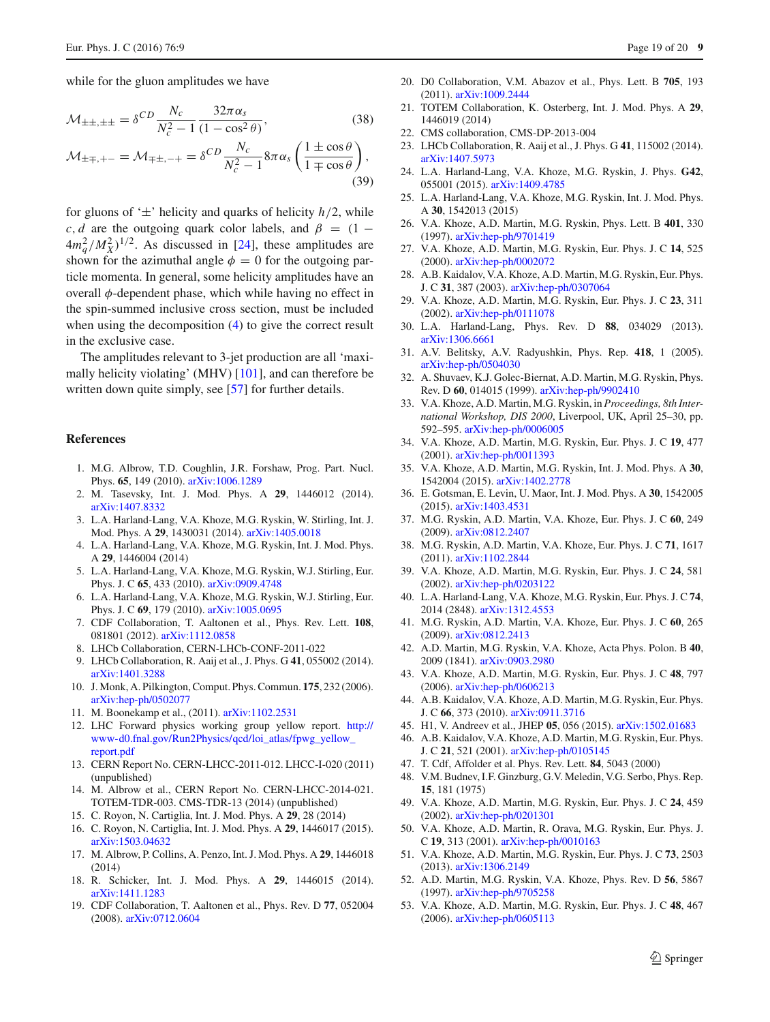while for the gluon amplitudes we have

$$
\mathcal{M}_{\pm\pm,\pm\pm} = \delta^{CD} \frac{N_c}{N_c^2 - 1} \frac{32\pi\alpha_s}{(1 - \cos^2\theta)},
$$
\n(38)

$$
\mathcal{M}_{\pm\mp,+-} = \mathcal{M}_{\mp\pm,-+} = \delta^{CD} \frac{N_c}{N_c^2 - 1} 8\pi \alpha_s \left( \frac{1 \pm \cos \theta}{1 \mp \cos \theta} \right),\tag{39}
$$

for gluons of  $\pm$ ' helicity and quarks of helicity  $h/2$ , while *c*, *d* are the outgoing quark color labels, and  $\beta = (1 (4m_q^2/M_X^2)^{1/2}$ . As discussed in [\[24](#page-18-21)], these amplitudes are shown for the azimuthal angle  $\phi = 0$  for the outgoing particle momenta. In general, some helicity amplitudes have an overall  $\phi$ -dependent phase, which while having no effect in the spin-summed inclusive cross section, must be included when using the decomposition [\(4\)](#page-2-1) to give the correct result in the exclusive case.

The amplitudes relevant to 3-jet production are all 'maximally helicity violating' (MHV) [\[101](#page-19-46)], and can therefore be written down quite simply, see [\[57\]](#page-19-3) for further details.

#### **References**

- <span id="page-18-0"></span>1. M.G. Albrow, T.D. Coughlin, J.R. Forshaw, Prog. Part. Nucl. Phys. **65**, 149 (2010). [arXiv:1006.1289](http://arxiv.org/abs/1006.1289)
- 2. M. Tasevsky, Int. J. Mod. Phys. A **29**, 1446012 (2014). [arXiv:1407.8332](http://arxiv.org/abs/1407.8332)
- <span id="page-18-2"></span>3. L.A. Harland-Lang, V.A. Khoze, M.G. Ryskin, W. Stirling, Int. J. Mod. Phys. A **29**, 1430031 (2014). [arXiv:1405.0018](http://arxiv.org/abs/1405.0018)
- <span id="page-18-1"></span>4. L.A. Harland-Lang, V.A. Khoze, M.G. Ryskin, Int. J. Mod. Phys. A **29**, 1446004 (2014)
- <span id="page-18-3"></span>5. L.A. Harland-Lang, V.A. Khoze, M.G. Ryskin, W.J. Stirling, Eur. Phys. J. C **65**, 433 (2010). [arXiv:0909.4748](http://arxiv.org/abs/0909.4748)
- <span id="page-18-4"></span>6. L.A. Harland-Lang, V.A. Khoze, M.G. Ryskin, W.J. Stirling, Eur. Phys. J. C **69**, 179 (2010). [arXiv:1005.0695](http://arxiv.org/abs/1005.0695)
- <span id="page-18-5"></span>7. CDF Collaboration, T. Aaltonen et al., Phys. Rev. Lett. **108**, 081801 (2012). [arXiv:1112.0858](http://arxiv.org/abs/1112.0858)
- <span id="page-18-49"></span>8. LHCb Collaboration, CERN-LHCb-CONF-2011-022
- <span id="page-18-6"></span>9. LHCb Collaboration, R. Aaij et al., J. Phys. G **41**, 055002 (2014). [arXiv:1401.3288](http://arxiv.org/abs/1401.3288)
- <span id="page-18-7"></span>10. J. Monk, A. Pilkington, Comput. Phys. Commun. **175**, 232 (2006). [arXiv:hep-ph/0502077](http://arxiv.org/abs/hep-ph/0502077)
- <span id="page-18-8"></span>11. M. Boonekamp et al., (2011). [arXiv:1102.2531](http://arxiv.org/abs/1102.2531)
- <span id="page-18-9"></span>12. LHC Forward physics working group yellow report. [http://](http://www-d0.fnal.gov/Run2Physics/qcd/loi_atlas/fpwg_yellow_report.pdf) [www-d0.fnal.gov/Run2Physics/qcd/loi\\_atlas/fpwg\\_yellow\\_](http://www-d0.fnal.gov/Run2Physics/qcd/loi_atlas/fpwg_yellow_report.pdf) [report.pdf](http://www-d0.fnal.gov/Run2Physics/qcd/loi_atlas/fpwg_yellow_report.pdf)
- <span id="page-18-10"></span>13. CERN Report No. CERN-LHCC-2011-012. LHCC-I-020 (2011) (unpublished)
- <span id="page-18-11"></span>14. M. Albrow et al., CERN Report No. CERN-LHCC-2014-021. TOTEM-TDR-003. CMS-TDR-13 (2014) (unpublished)
- <span id="page-18-12"></span>15. C. Royon, N. Cartiglia, Int. J. Mod. Phys. A **29**, 28 (2014)
- <span id="page-18-13"></span>16. C. Royon, N. Cartiglia, Int. J. Mod. Phys. A **29**, 1446017 (2015). [arXiv:1503.04632](http://arxiv.org/abs/1503.04632)
- <span id="page-18-14"></span>17. M. Albrow, P. Collins, A. Penzo, Int. J. Mod. Phys. A **29**, 1446018 (2014)
- <span id="page-18-15"></span>18. R. Schicker, Int. J. Mod. Phys. A **29**, 1446015 (2014). [arXiv:1411.1283](http://arxiv.org/abs/1411.1283)
- <span id="page-18-16"></span>19. CDF Collaboration, T. Aaltonen et al., Phys. Rev. D **77**, 052004 (2008). [arXiv:0712.0604](http://arxiv.org/abs/0712.0604)
- <span id="page-18-17"></span>20. D0 Collaboration, V.M. Abazov et al., Phys. Lett. B **705**, 193 (2011). [arXiv:1009.2444](http://arxiv.org/abs/1009.2444)
- <span id="page-18-47"></span><span id="page-18-18"></span>21. TOTEM Collaboration, K. Osterberg, Int. J. Mod. Phys. A **29**, 1446019 (2014)
- <span id="page-18-19"></span>22. CMS collaboration, CMS-DP-2013-004
- <span id="page-18-20"></span>23. LHCb Collaboration, R. Aaij et al., J. Phys. G **41**, 115002 (2014). [arXiv:1407.5973](http://arxiv.org/abs/1407.5973)
- <span id="page-18-21"></span>24. L.A. Harland-Lang, V.A. Khoze, M.G. Ryskin, J. Phys. **G42**, 055001 (2015). [arXiv:1409.4785](http://arxiv.org/abs/1409.4785)
- <span id="page-18-22"></span>25. L.A. Harland-Lang, V.A. Khoze, M.G. Ryskin, Int. J. Mod. Phys. A **30**, 1542013 (2015)
- <span id="page-18-23"></span>26. V.A. Khoze, A.D. Martin, M.G. Ryskin, Phys. Lett. B **401**, 330 (1997). [arXiv:hep-ph/9701419](http://arxiv.org/abs/hep-ph/9701419)
- 27. V.A. Khoze, A.D. Martin, M.G. Ryskin, Eur. Phys. J. C **14**, 525 (2000). [arXiv:hep-ph/0002072](http://arxiv.org/abs/hep-ph/0002072)
- <span id="page-18-27"></span>28. A.B. Kaidalov, V.A. Khoze, A.D. Martin, M.G. Ryskin, Eur. Phys. J. C **31**, 387 (2003). [arXiv:hep-ph/0307064](http://arxiv.org/abs/hep-ph/0307064)
- 29. V.A. Khoze, A.D. Martin, M.G. Ryskin, Eur. Phys. J. C **23**, 311 (2002). [arXiv:hep-ph/0111078](http://arxiv.org/abs/hep-ph/0111078)
- <span id="page-18-24"></span>30. L.A. Harland-Lang, Phys. Rev. D **88**, 034029 (2013). [arXiv:1306.6661](http://arxiv.org/abs/1306.6661)
- <span id="page-18-25"></span>31. A.V. Belitsky, A.V. Radyushkin, Phys. Rep. **418**, 1 (2005). [arXiv:hep-ph/0504030](http://arxiv.org/abs/hep-ph/0504030)
- <span id="page-18-26"></span>32. A. Shuvaev, K.J. Golec-Biernat, A.D. Martin, M.G. Ryskin, Phys. Rev. D **60**, 014015 (1999). [arXiv:hep-ph/9902410](http://arxiv.org/abs/hep-ph/9902410)
- <span id="page-18-28"></span>33. V.A. Khoze, A.D. Martin, M.G. Ryskin, in *Proceedings, 8th International Workshop, DIS 2000*, Liverpool, UK, April 25–30, pp. 592–595. [arXiv:hep-ph/0006005](http://arxiv.org/abs/hep-ph/0006005)
- <span id="page-18-29"></span>34. V.A. Khoze, A.D. Martin, M.G. Ryskin, Eur. Phys. J. C **19**, 477 (2001). [arXiv:hep-ph/0011393](http://arxiv.org/abs/hep-ph/0011393)
- <span id="page-18-30"></span>35. V.A. Khoze, A.D. Martin, M.G. Ryskin, Int. J. Mod. Phys. A **30**, 1542004 (2015). [arXiv:1402.2778](http://arxiv.org/abs/1402.2778)
- <span id="page-18-31"></span>36. E. Gotsman, E. Levin, U. Maor, Int. J. Mod. Phys. A **30**, 1542005 (2015). [arXiv:1403.4531](http://arxiv.org/abs/1403.4531)
- <span id="page-18-32"></span>37. M.G. Ryskin, A.D. Martin, V.A. Khoze, Eur. Phys. J. C **60**, 249 (2009). [arXiv:0812.2407](http://arxiv.org/abs/0812.2407)
- <span id="page-18-33"></span>38. M.G. Ryskin, A.D. Martin, V.A. Khoze, Eur. Phys. J. C **71**, 1617 (2011). [arXiv:1102.2844](http://arxiv.org/abs/1102.2844)
- <span id="page-18-34"></span>39. V.A. Khoze, A.D. Martin, M.G. Ryskin, Eur. Phys. J. C **24**, 581 (2002). [arXiv:hep-ph/0203122](http://arxiv.org/abs/hep-ph/0203122)
- <span id="page-18-35"></span>40. L.A. Harland-Lang, V.A. Khoze, M.G. Ryskin, Eur. Phys. J. C **74**, 2014 (2848). [arXiv:1312.4553](http://arxiv.org/abs/1312.4553)
- <span id="page-18-36"></span>41. M.G. Ryskin, A.D. Martin, V.A. Khoze, Eur. Phys. J. C **60**, 265 (2009). [arXiv:0812.2413](http://arxiv.org/abs/0812.2413)
- <span id="page-18-37"></span>42. A.D. Martin, M.G. Ryskin, V.A. Khoze, Acta Phys. Polon. B **40**, 2009 (1841). [arXiv:0903.2980](http://arxiv.org/abs/0903.2980)
- <span id="page-18-38"></span>43. V.A. Khoze, A.D. Martin, M.G. Ryskin, Eur. Phys. J. C **48**, 797 (2006). [arXiv:hep-ph/0606213](http://arxiv.org/abs/hep-ph/0606213)
- 44. A.B. Kaidalov, V.A. Khoze, A.D. Martin, M.G. Ryskin, Eur. Phys. J. C **66**, 373 (2010). [arXiv:0911.3716](http://arxiv.org/abs/0911.3716)
- <span id="page-18-39"></span>45. H1, V. Andreev et al., JHEP **05**, 056 (2015). [arXiv:1502.01683](http://arxiv.org/abs/1502.01683)
- <span id="page-18-40"></span>46. A.B. Kaidalov, V.A. Khoze, A.D. Martin, M.G. Ryskin, Eur. Phys. J. C **21**, 521 (2001). [arXiv:hep-ph/0105145](http://arxiv.org/abs/hep-ph/0105145)
- <span id="page-18-41"></span>47. T. Cdf, Affolder et al. Phys. Rev. Lett. **84**, 5043 (2000)
- <span id="page-18-42"></span>48. V.M. Budnev, I.F. Ginzburg, G.V. Meledin, V.G. Serbo, Phys. Rep. **15**, 181 (1975)
- <span id="page-18-43"></span>49. V.A. Khoze, A.D. Martin, M.G. Ryskin, Eur. Phys. J. C **24**, 459 (2002). [arXiv:hep-ph/0201301](http://arxiv.org/abs/hep-ph/0201301)
- <span id="page-18-44"></span>50. V.A. Khoze, A.D. Martin, R. Orava, M.G. Ryskin, Eur. Phys. J. C **19**, 313 (2001). [arXiv:hep-ph/0010163](http://arxiv.org/abs/hep-ph/0010163)
- <span id="page-18-48"></span>51. V.A. Khoze, A.D. Martin, M.G. Ryskin, Eur. Phys. J. C **73**, 2503 (2013). [arXiv:1306.2149](http://arxiv.org/abs/1306.2149)
- <span id="page-18-45"></span>52. A.D. Martin, M.G. Ryskin, V.A. Khoze, Phys. Rev. D **56**, 5867 (1997). [arXiv:hep-ph/9705258](http://arxiv.org/abs/hep-ph/9705258)
- <span id="page-18-46"></span>53. V.A. Khoze, A.D. Martin, M.G. Ryskin, Eur. Phys. J. C **48**, 467 (2006). [arXiv:hep-ph/0605113](http://arxiv.org/abs/hep-ph/0605113)